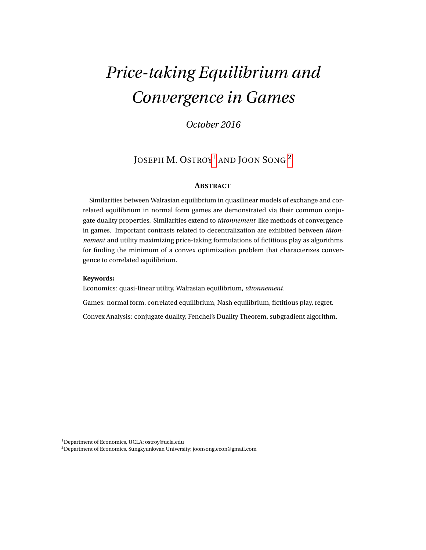# *Price-taking Equilibrium and Convergence in Games*

*October 2016*

# JOSEPH M. OSTROY<sup>1</sup> AND JOON SONG<sup>2</sup>

## **ABSTRACT**

Similarities between Walrasian equilibrium in quasilinear models of exchange and correlated equilibrium in normal form games are demonstrated via their common conjugate duality properties. Similarities extend to *tâtonnement*-like methods of convergence in games. Important contrasts related to decentralization are exhibited between *tâtonnement* and utility maximizing price-taking formulations of fictitious play as algorithms for finding the minimum of a convex optimization problem that characterizes convergence to correlated equilibrium.

#### **Keywords:**

Economics: quasi-linear utility, Walrasian equilibrium, *tâtonnement*.

Games: normal form, correlated equilibrium, Nash equilibrium, fictitious play, regret.

Convex Analysis: conjugate duality, Fenchel's Duality Theorem, subgradient algorithm.

<sup>1</sup>Department of Economics, UCLA: ostroy@ucla.edu

<sup>2</sup>Department of Economics, Sungkyunkwan University; joonsong.econ@gmail.com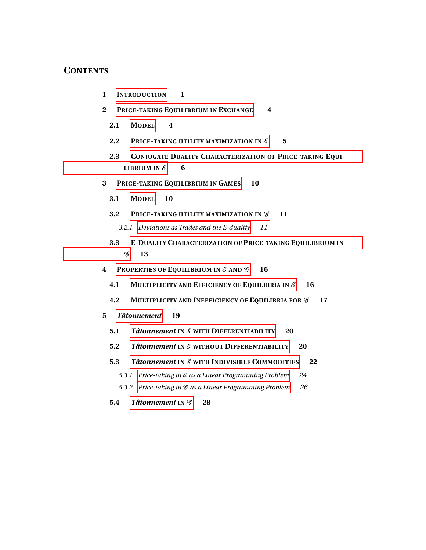# **CONTENTS**

- **1 I[NTRODUCTION](#page-3-0) 1**
- **2 PRICE-TAKING E[QUILIBRIUM IN](#page-6-0) EXCHANGE 4**
	- **2.1 M[ODEL](#page-6-1) 4**
	- **2.2** PRICE-[TAKING UTILITY MAXIMIZATION IN](#page-7-0)  $\mathscr{E}$  5
	- **2.3 CONJUGATE DUALITY C[HARACTERIZATION OF](#page-8-0) PRICE-TAKING EQUI-[LIBRIUM IN](#page-8-0)**  $\mathscr{E}$  **6**
- **3 PRICE-TAKING E[QUILIBRIUM IN](#page-12-0) GAMES 10**
	- **3.1 M[ODEL](#page-12-1) 10**
	- **3.2 PRICE-[TAKING UTILITY MAXIMIZATION IN](#page-13-0)**  $\mathscr{G}$  **11**

*3.2.1 [Deviations as Trades and the E-duality](#page-13-1) 11*

- **3.3 E-DUALITY C[HARACTERIZATION OF](#page-15-0) PRICE-TAKING EQUILIBRIUM IN** [G](#page-15-0) **13**
- **4 PROPERTIES OF E[QUILIBRIUM IN](#page-18-0)** E **AND** G **16**
	- **4.1 M[ULTIPLICITY AND](#page-18-1) EFFICIENCY OF EQUILIBRIA IN** E **16**
	- **4.2 M[ULTIPLICITY AND](#page-19-0) INEFFICIENCY OF EQUILIBRIA FOR** G **17**
- **5** *[Tâtonnement](#page-21-0)* **19**
	- **5.1** *Tâtonnement* **IN** E **WITH D[IFFERENTIABILITY](#page-22-0) 20**
	- **5.2** *Tâtonnement* **IN** E **WITHOUT D[IFFERENTIABILITY](#page-22-1) 20**
	- **5.3** *[Tâtonnement](#page-24-0)* **IN** E **WITH INDIVISIBLE COMMODITIES 22**
		- *5.3.1 Price-taking in* E *[as a Linear Programming Problem](#page-26-0) 24*
		- *5.3.2 Price-taking in* G *[as a Linear Programming Problem](#page-28-0) 26*
	- **5.4** *[Tâtonnement](#page-30-0)* **IN**  $\mathscr{G}$  **28**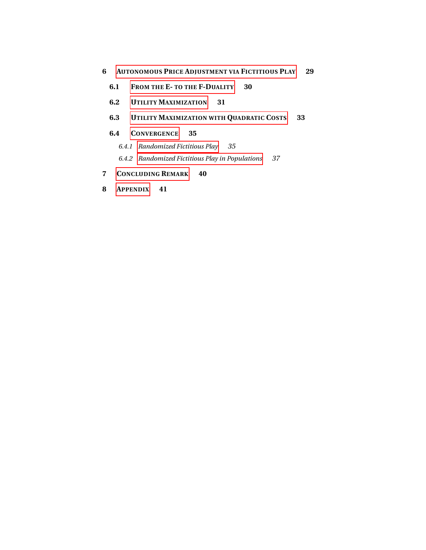## **6 AUTONOMOUS PRICE A[DJUSTMENT VIA](#page-31-0) FICTITIOUS PLAY 29**

- **6.1 F[ROM THE](#page-32-0) E- TO THE F-DUALITY 30**
- **6.2 UTILITY M[AXIMIZATION](#page-33-0) 31**
- **6.3 UTILITY M[AXIMIZATION WITH](#page-35-0) QUADRATIC COSTS 33**

#### **6.4 C[ONVERGENCE](#page-37-0) 35**

- *6.4.1 [Randomized Fictitious Play](#page-37-1) 35*
- *6.4.2 [Randomized Fictitious Play in Populations](#page-39-0) 37*

# **7 C[ONCLUDING](#page-42-0) REMARK 40**

**8 A[PPENDIX](#page-43-0) 41**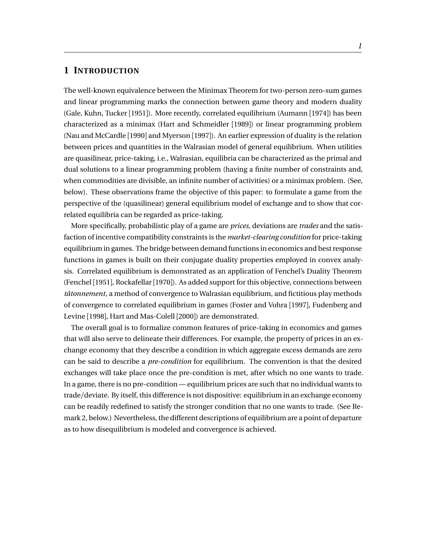# <span id="page-3-0"></span>**1 INTRODUCTION**

The well-known equivalence between the Minimax Theorem for two-person zero-sum games and linear programming marks the connection between game theory and modern duality (Gale, Kuhn, Tucker [1951]). More recently, correlated equilibrium (Aumann [1974]) has been characterized as a minimax (Hart and Schmeidler [1989]) or linear programming problem (Nau and McCardle [1990] and Myerson [1997]). An earlier expression of duality is the relation between prices and quantities in the Walrasian model of general equilibrium. When utilities are quasilinear, price-taking, i.e., Walrasian, equilibria can be characterized as the primal and dual solutions to a linear programming problem (having a finite number of constraints and, when commodities are divisible, an infinite number of activities) or a minimax problem. (See, below). These observations frame the objective of this paper: to formulate a game from the perspective of the (quasilinear) general equilibrium model of exchange and to show that correlated equilibria can be regarded as price-taking.

More specifically, probabilistic play of a game are *prices*, deviations are *trades* and the satisfaction of incentive compatibility constraints is the *market-clearing condition* for price-taking equilibrium in games. The bridge between demand functions in economics and best response functions in games is built on their conjugate duality properties employed in convex analysis. Correlated equilibrium is demonstrated as an application of Fenchel's Duality Theorem (Fenchel [1951], Rockafellar [1970]). As added support for this objective, connections between *tâtonnement*, a method of convergence to Walrasian equilibrium, and fictitious play methods of convergence to correlated equilibrium in games (Foster and Vohra [1997], Fudenberg and Levine [1998], Hart and Mas-Colell [2000]) are demonstrated.

The overall goal is to formalize common features of price-taking in economics and games that will also serve to delineate their differences. For example, the property of prices in an exchange economy that they describe a condition in which aggregate excess demands are zero can be said to describe a *pre-condition* for equilibrium. The convention is that the desired exchanges will take place once the pre-condition is met, after which no one wants to trade. In a game, there is no pre-condition — equilibrium prices are such that no individual wants to trade/deviate. By itself, this difference is not dispositive: equilibrium in an exchange economy can be readily redefined to satisfy the stronger condition that no one wants to trade. (See Remark 2, below.) Nevertheless, the different descriptions of equilibrium are a point of departure as to how disequilibrium is modeled and convergence is achieved.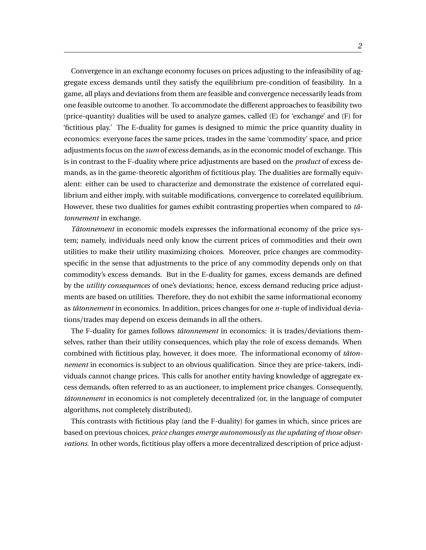Convergence in an exchange economy focuses on prices adjusting to the infeasibility of aggregate excess demands until they satisfy the equilibrium pre-condition of feasibility. In a game, all plays and deviations from them are feasible and convergence necessarily leads from one feasible outcome to another. To accommodate the different approaches to feasibility two (price-quantity) dualities will be used to analyze games, called (E) for 'exchange' and (F) for 'fictitious play.' The E-duality for games is designed to mimic the price quantity duality in economics: everyone faces the same prices, trades in the same 'commodity' space, and price adjustments focus on the *sum* of excess demands, as in the economic model of exchange. This is in contrast to the F-duality where price adjustments are based on the *product* of excess demands, as in the game-theoretic algorithm of fictitious play. The dualities are formally equivalent: either can be used to characterize and demonstrate the existence of correlated equilibrium and either imply, with suitable modifications, convergence to correlated equilibrium. However, these two dualities for games exhibit contrasting properties when compared to *tâtonnement* in exchange.

*Tâtonnement* in economic models expresses the informational economy of the price system; namely, individuals need only know the current prices of commodities and their own utilities to make their utility maximizing choices. Moreover, price changes are commodityspecific in the sense that adjustments to the price of any commodity depends only on that commodity's excess demands. But in the E-duality for games, excess demands are defined by the *utility consequences* of one's deviations; hence, excess demand reducing price adjustments are based on utilities. Therefore, they do not exhibit the same informational economy as *tâtonnement* in economics. In addition, prices changes for one *n*-tuple of individual deviations/trades may depend on excess demands in all the others.

The F-duality for games follows *tâtonnement* in economics: it is trades/deviations themselves, rather than their utility consequences, which play the role of excess demands. When combined with fictitious play, however, it does more. The informational economy of *tâtonnement* in economics is subject to an obvious qualification. Since they are price-takers, individuals cannot change prices. This calls for another entity having knowledge of aggregate excess demands, often referred to as an auctioneer, to implement price changes. Consequently, *tâtonnement* in economics is not completely decentralized (or, in the language of computer algorithms, not completely distributed).

This contrasts with fictitious play (and the F-duality) for games in which, since prices are based on previous choices, *price changes emerge autonomously as the updating of those observations*. In other words, fictitious play offers a more decentralized description of price adjust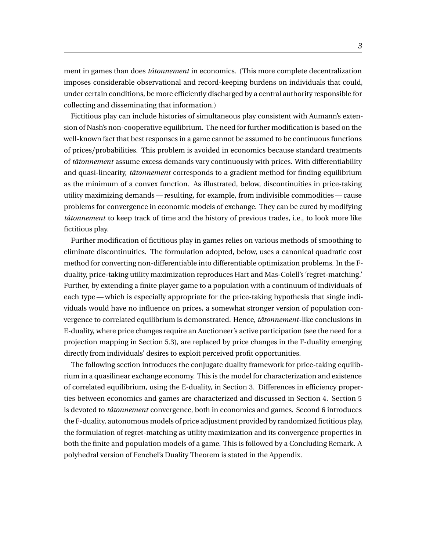ment in games than does *tâtonnement* in economics. (This more complete decentralization imposes considerable observational and record-keeping burdens on individuals that could, under certain conditions, be more efficiently discharged by a central authority responsible for collecting and disseminating that information.)

Fictitious play can include histories of simultaneous play consistent with Aumann's extension of Nash's non-cooperative equilibrium. The need for further modification is based on the well-known fact that best responses in a game cannot be assumed to be continuous functions of prices/probabilities. This problem is avoided in economics because standard treatments of *tâtonnement* assume excess demands vary continuously with prices. With differentiability and quasi-linearity, *tâtonnement* corresponds to a gradient method for finding equilibrium as the minimum of a convex function. As illustrated, below, discontinuities in price-taking utility maximizing demands — resulting, for example, from indivisible commodities — cause problems for convergence in economic models of exchange. They can be cured by modifying *tâtonnement* to keep track of time and the history of previous trades, i.e., to look more like fictitious play.

Further modification of fictitious play in games relies on various methods of smoothing to eliminate discontinuities. The formulation adopted, below, uses a canonical quadratic cost method for converting non-differentiable into differentiable optimization problems. In the Fduality, price-taking utility maximization reproduces Hart and Mas-Colell's 'regret-matching.' Further, by extending a finite player game to a population with a continuum of individuals of each type — which is especially appropriate for the price-taking hypothesis that single individuals would have no influence on prices, a somewhat stronger version of population convergence to correlated equilibrium is demonstrated. Hence, *tâtonnement*-like conclusions in E-duality, where price changes require an Auctioneer's active participation (see the need for a projection mapping in Section 5.3), are replaced by price changes in the F-duality emerging directly from individuals' desires to exploit perceived profit opportunities.

The following section introduces the conjugate duality framework for price-taking equilibrium in a quasilinear exchange economy. This is the model for characterization and existence of correlated equilibrium, using the E-duality, in Section 3. Differences in efficiency properties between economics and games are characterized and discussed in Section 4. Section 5 is devoted to *tâtonnement* convergence, both in economics and games. Second 6 introduces the F-duality, autonomous models of price adjustment provided by randomized fictitious play, the formulation of regret-matching as utility maximization and its convergence properties in both the finite and population models of a game. This is followed by a Concluding Remark. A polyhedral version of Fenchel's Duality Theorem is stated in the Appendix.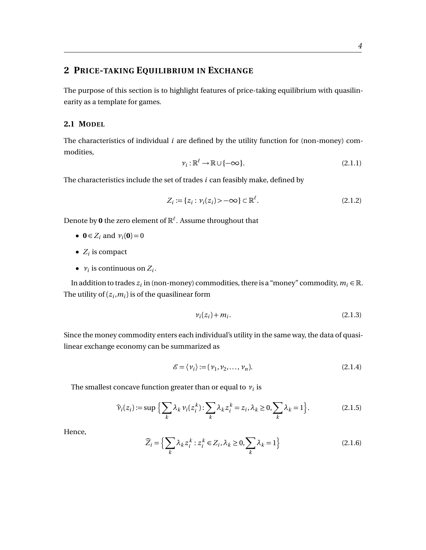# <span id="page-6-0"></span>**2 PRICE-TAKING EQUILIBRIUM IN EXCHANGE**

The purpose of this section is to highlight features of price-taking equilibrium with quasilinearity as a template for games.

# <span id="page-6-1"></span>**2.1 MODEL**

The characteristics of individual *i* are defined by the utility function for (non-money) commodities,

$$
\nu_i : \mathbb{R}^\ell \to \mathbb{R} \cup \{ -\infty \}. \tag{2.1.1}
$$

The characteristics include the set of trades *i* can feasibly make, defined by

$$
Z_i := \{ z_i : \nu_i(z_i) > -\infty \} \subset \mathbb{R}^{\ell}.
$$
\n(2.1.2)

Denote by **0** the zero element of R*`* . Assume throughout that

- **0**  $\in Z_i$  and  $v_i(\mathbf{0}) = 0$
- $Z_i$  is compact
- $v_i$  is continuous on  $Z_i$ .

In addition to trades  $z_i$  in (non-money) commodities, there is a "money" commodity,  $m_i \in \mathbb{R}$ . The utility of  $(z_i, m_i)$  is of the quasilinear form

$$
v_i(z_i) + m_i. \tag{2.1.3}
$$

Since the money commodity enters each individual's utility in the same way, the data of quasilinear exchange economy can be summarized as

$$
\mathcal{E} = \langle v_i \rangle := (v_1, v_2, \dots, v_n). \tag{2.1.4}
$$

The smallest concave function greater than or equal to  $v_i$  is

$$
\widehat{\nu}_i(z_i) := \sup \Big\{ \sum_k \lambda_k \nu_i(z_i^k) : \sum_k \lambda_k z_i^k = z_i, \lambda_k \ge 0, \sum_k \lambda_k = 1 \Big\}.
$$
 (2.1.5)

Hence,

$$
\widehat{Z}_i = \left\{ \sum_k \lambda_k z_i^k : z_i^k \in Z_i, \lambda_k \ge 0, \sum_k \lambda_k = 1 \right\}
$$
 (2.1.6)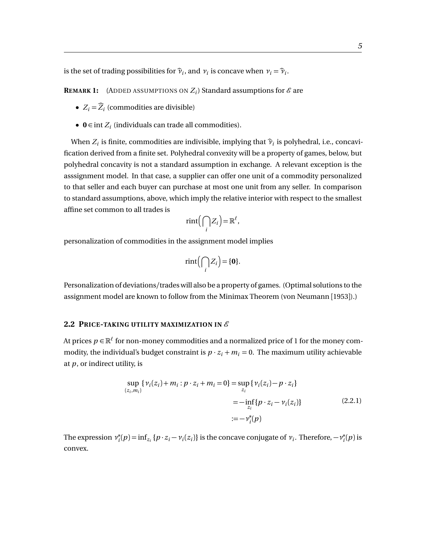is the set of trading possibilities for  $\widehat{\nu}_i$ , and  $\nu_i$  is concave when  $\nu_i = \widehat{\nu}_i$ .

**REMARK 1:** (ADDED ASSUMPTIONS ON  $Z_i$ ) Standard assumptions for  $\mathscr E$  are

- $Z_i = \widehat{Z}_i$  (commodities are divisible)
- $0 \in \text{int } Z_i$  (individuals can trade all commodities).

When  $Z_i$  is finite, commodities are indivisible, implying that  $\hat{\nu}_i$  is polyhedral, i.e., concavification derived from a finite set. Polyhedral convexity will be a property of games, below, but polyhedral concavity is not a standard assumption in exchange. A relevant exception is the asssignment model. In that case, a supplier can offer one unit of a commodity personalized to that seller and each buyer can purchase at most one unit from any seller. In comparison to standard assumptions, above, which imply the relative interior with respect to the smallest affine set common to all trades is

$$
rint(\bigcap_i Z_i) = \mathbb{R}^{\ell},
$$

personalization of commodities in the assignment model implies

$$
rint(\bigcap_i Z_i) = \{0\}.
$$

Personalization of deviations/trades will also be a property of games. (Optimal solutions to the assignment model are known to follow from the Minimax Theorem (von Neumann [1953]).)

# <span id="page-7-0"></span>2.2 PRICE-TAKING UTILITY MAXIMIZATION IN  $\mathscr E$

At prices  $p \in \mathbb{R}^\ell$  for non-money commodities and a normalized price of 1 for the money commodity, the individual's budget constraint is  $p \cdot z_i + m_i = 0$ . The maximum utility achievable at *p*, or indirect utility, is

$$
\sup_{(z_i, m_i)} \{ \nu_i(z_i) + m_i : p \cdot z_i + m_i = 0 \} = \sup_{z_i} \{ \nu_i(z_i) - p \cdot z_i \}
$$
  
= 
$$
-\inf_{z_i} \{ p \cdot z_i - \nu_i(z_i) \}
$$
(2.2.1)  
= 
$$
-\nu_i^*(p)
$$

The expression *ν* ∗  $\chi_i^*(p) = \inf_{z_i} \{p \cdot z_i - \nu_i(z_i)\}$  is the concave conjugate of  $\nu_i$ . Therefore,  $-\nu_i^*$  $i^*(p)$  is convex.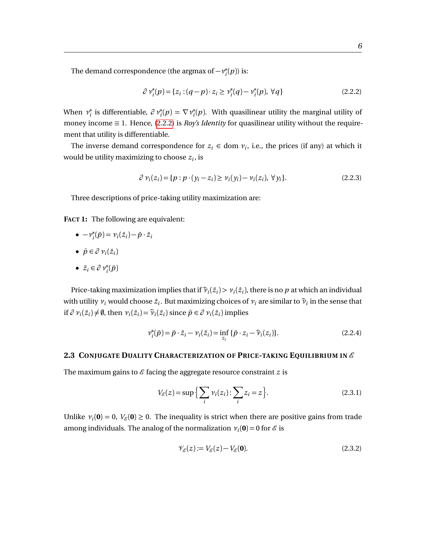The demand correspondence (the argmax of  $-v_i^*$  $i^*(p)$ ) is:

<span id="page-8-1"></span>
$$
\partial \nu_i^*(p) = \{ z_i : (q - p) \cdot z_i \ge \nu_i^*(q) - \nu_i^*(p), \,\forall q \}
$$
 (2.2.2)

When *ν* ∗ <sup>\*</sup><sub>*i*</sub> is differentiable,  $\partial v_i^*(p) = \nabla v_i^*$  $e^*_i(p)$ . With quasilinear utility the marginal utility of money income  $\equiv$  1. Hence, [\(2.2.2\)](#page-8-1) is *Roy's Identity* for quasilinear utility without the requirement that utility is differentiable.

The inverse demand correspondence for  $z_i \in \text{dom } v_i$ , i.e., the prices (if any) at which it would be utility maximizing to choose *z<sup>i</sup>* , is

$$
\partial \nu_i(z_i) = \{ p : p \cdot (y_i - z_i) \ge \nu_i(y_i) - \nu_i(z_i), \forall y_i \}. \tag{2.2.3}
$$

Three descriptions of price-taking utility maximization are:

**FACT 1:** The following are equivalent:

- $\bullet \nu_i^*$  $\nu_i(\bar{p}) = \nu_i(\bar{z}_i) - \bar{p} \cdot \bar{z}_i$
- $\bar{p} \in \partial v_i(\bar{z}_i)$
- $\bar{z}_i \in \partial v_i^*(\bar{p})$

Price-taking maximization implies that if  $\widehat{\nu}_i(\bar{z}_i) > \nu_i(\bar{z}_i)$ , there is no *p* at which an individual with utility  $v_i$  would choose  $\bar{z}_i$ . But maximizing choices of  $v_i$  are similar to  $\hat{v}_i$  in the sense that if  $\partial v_i(\bar{z}_i) \neq \emptyset$ , then  $v_i(\bar{z}_i) = \hat{v}_i(\bar{z}_i)$  since  $\bar{p} \in \partial v_i(\bar{z}_i)$  implies

$$
\nu_i^*(\bar{p}) = \bar{p} \cdot \bar{z}_i - \nu_i(\bar{z}_i) = \inf_{z_i} \{ \bar{p} \cdot z_i - \widehat{\nu}_i(z_i) \}.
$$
 (2.2.4)

#### <span id="page-8-0"></span>**2.3 CONJUGATE DUALITY CHARACTERIZATION OF PRICE-TAKING EQUILIBRIUM IN** E

The maximum gains to  $\mathscr E$  facing the aggregate resource constraint  $z$  is

$$
V_{\mathcal{E}}(z) = \sup \Big\{ \sum_{i} \nu_i(z_i) : \sum_{i} z_i = z \Big\}.
$$
 (2.3.1)

Unlike  $v_i(\mathbf{0}) = 0$ ,  $V_{\mathscr{E}}(\mathbf{0}) \ge 0$ . The inequality is strict when there are positive gains from trade among individuals. The analog of the normalization  $v_i(\mathbf{0}) = 0$  for  $\mathscr{E}$  is

$$
\mathcal{V}_{\mathcal{E}}(z) := V_{\mathcal{E}}(z) - V_{\mathcal{E}}(\mathbf{0}).\tag{2.3.2}
$$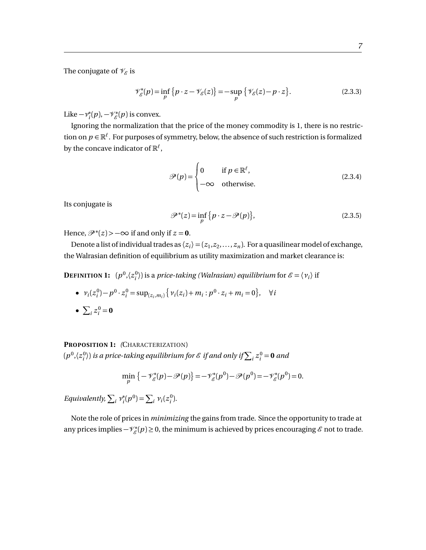The conjugate of  $\mathcal{V}_{\mathcal{E}}$  is

$$
\mathcal{V}_{\mathcal{E}}^*(p) = \inf_{p} \{ p \cdot z - \mathcal{V}_{\mathcal{E}}(z) \} = -\sup_{p} \{ \mathcal{V}_{\mathcal{E}}(z) - p \cdot z \}. \tag{2.3.3}
$$

Like  $-v_i^*$ *i*<sup>\*</sup>(*p*), −\*/*i*<sup>\*</sup>(*p*) is convex.

Ignoring the normalization that the price of the money commodity is 1, there is no restriction on  $p \in \mathbb{R}^{\ell}$ . For purposes of symmetry, below, the absence of such restriction is formalized by the concave indicator of  $\mathbb{R}^\ell$  ,

$$
\mathcal{P}(p) = \begin{cases} 0 & \text{if } p \in \mathbb{R}^{\ell}, \\ -\infty & \text{otherwise.} \end{cases}
$$
 (2.3.4)

Its conjugate is

$$
\mathcal{P}^*(z) = \inf_p \{ p \cdot z - \mathcal{P}(p) \},\tag{2.3.5}
$$

Hence,  $\mathscr{P}^*(z)$  >  $-\infty$  if and only if  $z = 0$ .

Denote a list of individual trades as  $\langle z_i \rangle = (z_1, z_2, \ldots, z_n)$ . For a quasilinear model of exchange, the Walrasian definition of equilibrium as utility maximization and market clearance is:

**DEFINITION 1:**  $(p^0, \langle z_i^0 \rangle)$  is a *price-taking (Walrasian) equilibrium* for  $\mathscr{E} = \langle v_i \rangle$  if

•  $v_i(z_i^0) - p^0 \cdot z_i^0 = \sup_{(z_i, m_i)} \{ v_i(z_i) + m_i : p^0 \cdot z_i + m_i = 0 \}, \quad \forall i$ •  $\sum_{i} z_i^0 = 0$ 

# **PROPOSITION 1:** *(*CHARACTERIZATION)

 $(p^0,\langle z^0_i\rangle)$  is a price-taking equilibrium for  $\mathscr E$  if and only if  $\sum_i z^0_i = {\bf 0}$  and

$$
\min_{p} \left\{-\mathscr{V}_{\mathscr{E}}^*(p) - \mathscr{P}(p)\right\} = -\mathscr{V}_{\mathscr{E}}^*(p^0) - \mathscr{P}(p^0) = -\mathscr{V}_{\mathscr{E}}^*(p^0) = 0.
$$

*Equivalently,*  $\sum_i v_i^*$  $\chi_i^*(p^0) = \sum_i \nu_i(z_i^0).$ 

Note the role of prices in *minimizing* the gains from trade. Since the opportunity to trade at any prices implies  $-\mathcal{V}_{\mathcal{E}}^*(p) \geq 0$ , the minimum is achieved by prices encouraging  $\mathcal{E}$  not to trade.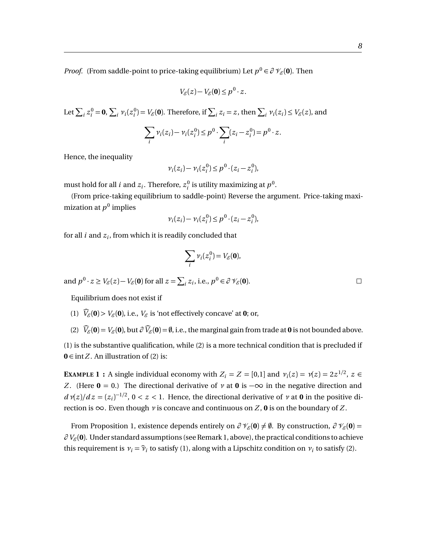*Proof.* (From saddle-point to price-taking equilibrium) Let  $p^0 \in \partial \mathcal{V}_{\mathcal{E}}(\mathbf{0})$ . Then

$$
V_{\mathcal{E}}(z) - V_{\mathcal{E}}(\mathbf{0}) \le p^0 \cdot z.
$$

Let  $\sum_i z_i^0 = \mathbf{0}$ ,  $\sum_i \nu_i(z_i^0) = V_{\mathscr{E}}(\mathbf{0})$ . Therefore, if  $\sum_i z_i = z$ , then  $\sum_i \nu_i(z_i) \leq V_{\mathscr{E}}(z)$ , and

$$
\sum_i \nu_i(z_i) - \nu_i(z_i^0) \le p^0 \cdot \sum_i (z_i - z_i^0) = p^0 \cdot z.
$$

Hence, the inequality

$$
\nu_i(z_i) - \nu_i(z_i^0) \le p^0 \cdot (z_i - z_i^0),
$$

must hold for all *i* and  $z_i$ . Therefore,  $z_i^0$  is utility maximizing at  $p^0$ .

(From price-taking equilibrium to saddle-point) Reverse the argument. Price-taking maximization at  $p^{\rm 0}$  implies

$$
\nu_i(z_i) - \nu_i(z_i^0) \le p^0 \cdot (z_i - z_i^0),
$$

for all *i* and *z<sup>i</sup>* , from which it is readily concluded that

$$
\sum_i \nu_i(z_i^0) = V_{\mathscr{E}}(\mathbf{0}),
$$

and  $p^0 \cdot z \ge V_{\mathscr{E}}(z) - V_{\mathscr{E}}(\mathbf{0})$  for all  $z = \sum_i z_i$ , i.e.,  $p^0 \in \partial \mathscr{V}_{\mathscr{E}}(\mathbf{0})$ .

Equilibrium does not exist if

- (1)  $\widehat{V}_\epsilon(\mathbf{0}) > V_\epsilon(\mathbf{0})$ , i.e.,  $V_\epsilon$  is 'not effectively concave' at **0**; or,
- (2)  $\widehat{V}_{\mathcal{E}}(\mathbf{0}) = V_{\mathcal{E}}(\mathbf{0})$ , but  $\partial \widehat{V}_{\mathcal{E}}(\mathbf{0}) = \emptyset$ , i.e., the marginal gain from trade at **0** is not bounded above.

(1) is the substantive qualification, while (2) is a more technical condition that is precluded if **0** ∈ int *Z*. An illustration of (2) is:

**EXAMPLE 1 :** A single individual economy with  $Z_i = Z = [0,1]$  and  $v_i(z) = v(z) = 2z^{1/2}$ ,  $z \in$ *Z*. (Here  $\mathbf{0} = 0$ .) The directional derivative of *v* at  $\mathbf{0}$  is  $-\infty$  in the negative direction and  $d\mathcal{v}(z)/dz = (z_i)^{-1/2}$ ,  $0 < z < 1$ . Hence, the directional derivative of *v* at **0** in the positive direction is  $\infty$ . Even though *v* is concave and continuous on *Z*, **0** is on the boundary of *Z*.

From Proposition 1, existence depends entirely on  $\partial \mathcal{V}_{\mathcal{E}}(\mathbf{0}) \neq \emptyset$ . By construction,  $\partial \mathcal{V}_{\mathcal{E}}(\mathbf{0}) =$  $\partial V_{\mathscr{E}}(\mathbf{0})$ . Under standard assumptions (see Remark 1, above), the practical conditions to achieve this requirement is  $v_i = \hat{v}_i$  to satisfy (1), along with a Lipschitz condition on  $v_i$  to satisfy (2).

 $\Box$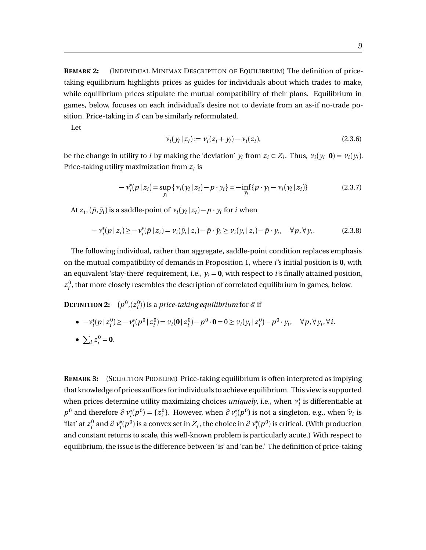**REMARK 2:** (INDIVIDUAL MINIMAX DESCRIPTION OF EQUILIBRIUM) The definition of pricetaking equilibrium highlights prices as guides for individuals about which trades to make, while equilibrium prices stipulate the mutual compatibility of their plans. Equilibrium in games, below, focuses on each individual's desire not to deviate from an as-if no-trade position. Price-taking in  $\mathcal E$  can be similarly reformulated.

Let

$$
\nu_i(y_i \, | \, z_i) := \nu_i(z_i + y_i) - \nu_i(z_i),\tag{2.3.6}
$$

be the change in utility to *i* by making the 'deviation'  $y_i$  from  $z_i \in Z_i$ . Thus,  $v_i(y_i | \mathbf{0}) = v_i(y_i)$ . Price-taking utility maximization from *z<sup>i</sup>* is

$$
-v_i^*(p \mid z_i) = \sup_{y_i} \{ v_i(y_i \mid z_i) - p \cdot y_i \} = -\inf_{y_i} \{ p \cdot y_i - v_i(y_i \mid z_i) \}
$$
(2.3.7)

At  $z_i$ ,  $(\bar{p}, \bar{y}_i)$  is a saddle-point of  $v_i(y_i | z_i) - p \cdot y_i$  for *i* when

$$
-\nu_i^*(p\,|\,z_i) \ge -\nu_i^*(\bar{p}\,|\,z_i) = \nu_i(\bar{y}_i\,|\,z_i) - \bar{p} \cdot \bar{y}_i \ge \nu_i(y_i\,|\,z_i) - \bar{p} \cdot y_i, \quad \forall p, \forall y_i.
$$
 (2.3.8)

The following individual, rather than aggregate, saddle-point condition replaces emphasis on the mutual compatibility of demands in Proposition 1, where *i*'s initial position is **0**, with an equivalent 'stay-there' requirement, i.e.,  $y_i = 0$ , with respect to *i*'s finally attained position,  $z_i^0$ , that more closely resembles the description of correlated equilibrium in games, below.

**DEFINITION 2:**  $(p^0, \langle z^0_i \rangle)$  is a *price-taking equilibrium* for  $\mathscr E$  if

• 
$$
-v_i^*(p|z_i^0) \ge -v_i^*(p^0|z_i^0) = v_i(0|z_i^0) - p^0 \cdot 0 = 0 \ge v_i(y_i|z_i^0) - p^0 \cdot y_i, \quad \forall p, \forall y_i, \forall i.
$$
  
\n•  $\sum_i z_i^0 = 0.$ 

<span id="page-11-0"></span>**REMARK 3:** (SELECTION PROBLEM) Price-taking equilibrium is often interpreted as implying that knowledge of prices suffices for individuals to achieve equilibrium. This view is supported when prices determine utility maximizing choices *uniquely*, i.e., when *ν* ∗  $_i^\ast$  is differentiable at  $p^0$  and therefore  $\partial v_i^*(p^0) = \{z_i^0\}$ . However, when  $\partial v_i^*(p^0)$  is not a singleton, e.g., when  $\hat{v}_i$  is 'flat' at  $z_i^0$  and  $\partial v_i^*(p^0)$  is a convex set in  $Z_i$ , the choice in  $\partial v_i^*(p^0)$  is critical. (With production and constant returns to scale, this well-known problem is particularly acute.) With respect to equilibrium, the issue is the difference between 'is' and 'can be.' The definition of price-taking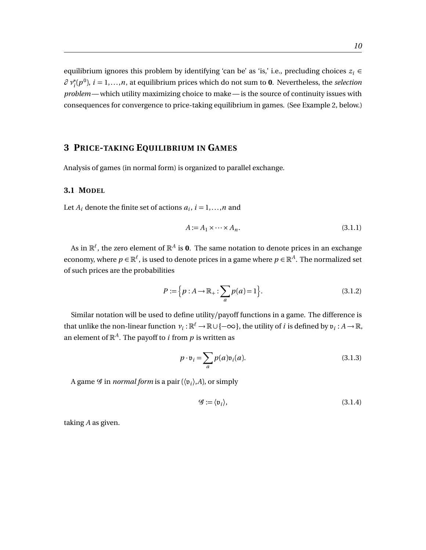equilibrium ignores this problem by identifying 'can be' as 'is,' i.e., precluding choices  $z_i \in$  $\partial v_i^*(p^0)$ ,  $i = 1,...,n$ , at equilibrium prices which do not sum to **0**. Nevertheless, the *selection problem* — which utility maximizing choice to make — is the source of continuity issues with consequences for convergence to price-taking equilibrium in games. (See Example 2, below.)

# <span id="page-12-0"></span>**3 PRICE-TAKING EQUILIBRIUM IN GAMES**

Analysis of games (in normal form) is organized to parallel exchange.

# <span id="page-12-1"></span>**3.1 MODEL**

Let  $A_i$  denote the finite set of actions  $a_i$ ,  $i = 1,...,n$  and

$$
A := A_1 \times \cdots \times A_n. \tag{3.1.1}
$$

As in  $\mathbb{R}^\ell$ , the zero element of  $\mathbb{R}^A$  is **0**. The same notation to denote prices in an exchange economy, where  $p \in \mathbb{R}^\ell$  , is used to denote prices in a game where  $p \in \mathbb{R}^A$ . The normalized set of such prices are the probabilities

$$
P := \{ p : A \to \mathbb{R}_+ : \sum_a p(a) = 1 \}.
$$
 (3.1.2)

Similar notation will be used to define utility/payoff functions in a game. The difference is that unlike the non-linear function  $v_i : \mathbb{R}^\ell \to \mathbb{R} \cup \{-\infty\}$ , the utility of *i* is defined by  $\mathfrak{v}_i : A \to \mathbb{R}$ , an element of  $\mathbb{R}^A$ . The payoff to *i* from *p* is written as

$$
p \cdot \mathfrak{v}_i = \sum_a p(a) \mathfrak{v}_i(a). \tag{3.1.3}
$$

A game  $\mathscr G$  in *normal form* is a pair ( $\langle \mathfrak v_i \rangle$ ,A), or simply

$$
\mathcal{G} := \langle \mathfrak{v}_i \rangle,\tag{3.1.4}
$$

taking *A* as given.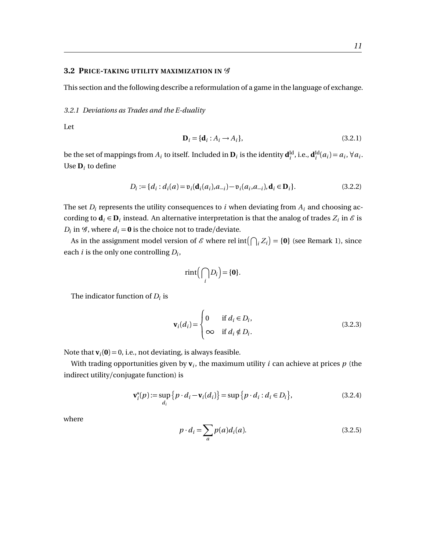#### <span id="page-13-0"></span>**3.2 PRICE-TAKING UTILITY MAXIMIZATION IN**  $\mathscr G$

This section and the following describe a reformulation of a game in the language of exchange.

# <span id="page-13-1"></span>*3.2.1 Deviations as Trades and the E-duality*

Let

$$
\mathbf{D}_i = \{\mathbf{d}_i : A_i \to A_i\},\tag{3.2.1}
$$

be the set of mappings from  $A_i$  to itself. Included in  $\mathbf{D}_i$  is the identity  $\mathbf{d}_i^{\text{Id}}$ , i.e.,  $\mathbf{d}_i^{\text{Id}}(a_i) = a_i$ ,  $\forall a_i$ . Use  $\mathbf{D}_i$  to define

$$
D_i := \{ d_i : d_i(a) = \mathfrak{v}_i(\mathbf{d}_i(a_i), a_{-i}) - \mathfrak{v}_i(a_i, a_{-i}), \mathbf{d}_i \in \mathbf{D}_i \}. \tag{3.2.2}
$$

The set  $D_i$  represents the utility consequences to  $i$  when deviating from  $A_i$  and choosing according to  $\mathbf{d}_i \in \mathbf{D}_i$  instead. An alternative interpretation is that the analog of trades  $Z_i$  in  $\mathscr E$  is  $D_i$  in  $\mathcal{G}$ , where  $d_i = \mathbf{0}$  is the choice not to trade/deviate.

As in the assignment model version of  $\mathscr E$  where rel int $\left(\bigcap_i Z_i\right) = \{0\}$  (see Remark 1), since each *i* is the only one controlling *D<sup>i</sup>* ,

$$
rint(\bigcap_i D_i) = \{0\}.
$$

The indicator function of  $D_i$  is

$$
\mathbf{v}_i(d_i) = \begin{cases} 0 & \text{if } d_i \in D_i, \\ \infty & \text{if } d_i \notin D_i. \end{cases}
$$
 (3.2.3)

Note that  $\mathbf{v}_i(\mathbf{0}) = 0$ , i.e., not deviating, is always feasible.

With trading opportunities given by  $\mathbf{v}_i$ , the maximum utility  $i$  can achieve at prices  $p$  (the indirect utility/conjugate function) is

$$
\mathbf{v}_i^*(p) := \sup_{d_i} \{ p \cdot d_i - \mathbf{v}_i(d_i) \} = \sup \{ p \cdot d_i : d_i \in D_i \},\tag{3.2.4}
$$

where

$$
p \cdot d_i = \sum_a p(a) d_i(a). \tag{3.2.5}
$$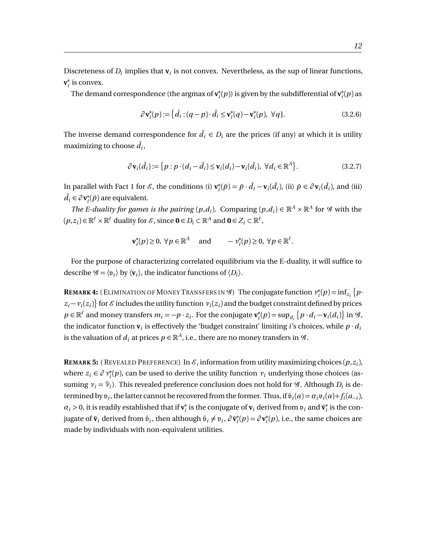Discreteness of  $D_i$  implies that  $\mathbf{v}_i$  is not convex. Nevertheless, as the sup of linear functions, **v** ∗  $i<sub>i</sub>$  is convex.

The demand correspondence (the argmax of **v** ∗  $\mathbf{r}_i^*(p)$ ) is given by the subdifferential of  $\mathbf{v}_i^*$ *i* (*p*) as

$$
\partial \mathbf{v}_i^*(p) := \left\{ \bar{d}_i : (q - p) \cdot \bar{d}_i \le \mathbf{v}_i^*(q) - \mathbf{v}_i^*(p), \ \forall q \right\}.
$$
\n(3.2.6)

The inverse demand correspondence for  $\bar{d}_i \in D_i$  are the prices (if any) at which it is utility maximizing to choose  $\bar{d}_i$ ,

$$
\partial \mathbf{v}_i(\bar{d}_i) := \{ p : p \cdot (d_i - \bar{d}_i) \le \mathbf{v}_i(d_i) - \mathbf{v}_i(\bar{d}_i), \ \forall d_i \in \mathbb{R}^A \}. \tag{3.2.7}
$$

In parallel with Fact 1 for  $\mathscr{E}$ , the conditions (i)  $\mathbf{v}_i^*$  $\dot{p}$ <sup>\*</sup>( $\bar{p}$ ) =  $\bar{p} \cdot \bar{d}_i$  –  $\mathbf{v}_i(\bar{d}_i)$ , (ii)  $\bar{p} \in \partial \mathbf{v}_i(\bar{d}_i)$ , and (iii)  $\bar{d}_i$  ∈ ∂ **v**<sup>\*</sup><sub>*i*</sub>  $i(\bar{p})$  are equivalent.

*The E-duality for games is the pairing*  $(p,d_i)$ . Comparing  $(p,d_i) \in \mathbb{R}^A \times \mathbb{R}^A$  for G with the  $(p, z_i) \in \mathbb{R}^{\ell} \times \mathbb{R}^{\ell}$  duality for  $\mathscr{E}$ , since  $\mathbf{0} \in D_i \subset \mathbb{R}^A$  and  $\mathbf{0} \in Z_i \subset \mathbb{R}^{\ell}$ ,

$$
\mathbf{v}_i^*(p) \ge 0, \ \forall p \in \mathbb{R}^A \quad \text{and} \quad -\mathcal{v}_i^*(p) \ge 0, \ \forall p \in \mathbb{R}^\ell.
$$

For the purpose of characterizing correlated equilibrium via the E-duality, it will suffice to describe  $\mathcal{G} = \langle \mathfrak{v}_i \rangle$  by  $\langle \mathbf{v}_i \rangle$ , the indicator functions of  $\langle D_i \rangle$ .

**REMARK 4:** (ELIMINATION OF MONEY TRANSFERS IN  $\mathscr{G}$ ) The conjugate function  $v_i^*$  $i^*(p) = \inf_{z_i} \{ p \cdot$  $z_i$  −  $v_i(z_i)$ } for  $\mathscr E$  includes the utility function  $v_i(z_i)$  and the budget constraint defined by prices  $p \in \mathbb{R}^{\ell}$  and money transfers  $m_i = -p \cdot z_i$ . For the conjugate  $\mathbf{v}_i^*$  $f_i^*(p) = \sup_{d_i} \{ p \cdot d_i - \mathbf{v}_i(d_i) \}$  in  $\mathcal{G}$ , the indicator function  $\mathbf{v}_i$  is effectively the 'budget constraint' limiting *i*'s choices, while  $p \cdot d_i$ is the valuation of  $d_i$  at prices  $p \in \mathbb{R}^A$ , i.e., there are no money transfers in  $\mathscr{G}$ .

**REMARK 5:** ( REVEALED PREFERENCE) In  $\mathcal{E}$ , information from utility maximizing choices  $(p, z_i)$ , where  $z_i \in \partial v_i^*(p)$ , can be used to derive the utility function  $v_i$  underlying those choices (assuming  $v_i = \hat{v}_i$ ). This revealed preference conclusion does not hold for  $\mathcal{G}$ . Although *D<sub>i</sub>* is determined by  $v_i$ , the latter cannot be recovered from the former. Thus, if  $\tilde{v}_i(a) = a_i v_i(a) + f_i(a_{-i})$ ,  $\alpha_i$  > 0, it is readily established that if  $\mathbf{v}_i^*$  $\mathbf{v}_i^*$  is the conjugate of  $\mathbf{v}_i$  derived from  $\mathbf{v}_i$  and  $\tilde{\mathbf{v}}_i^*$  $_i^*$  is the conjugate of  $\tilde{\mathbf{v}}_i$  derived from  $\tilde{\mathfrak{v}}_i$ , then although  $\tilde{\mathfrak{v}}_i \neq \mathfrak{v}_i$ ,  $\partial \tilde{\mathbf{v}}_i^*$  $\mathbf{v}_i^*(p) = \partial \mathbf{v}_i^*$  $i<sub>i</sub>(p)$ , i.e., the same choices are made by individuals with non-equivalent utilities.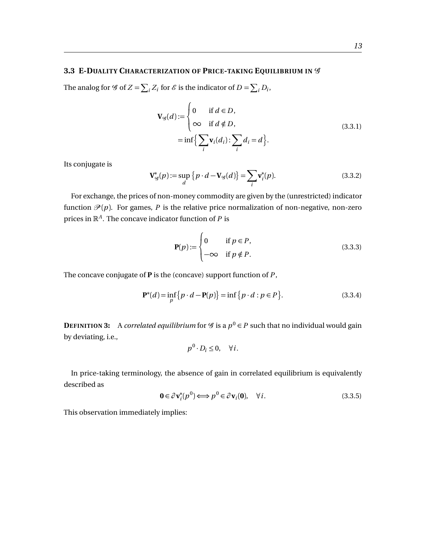# <span id="page-15-0"></span>**3.3 E-DUALITY CHARACTERIZATION OF PRICE-TAKING EQUILIBRIUM IN** G

The analog for  $\mathscr G$  of  $Z = \sum_i Z_i$  for  $\mathscr E$  is the indicator of  $D = \sum_i D_i$ ,

$$
\mathbf{V}_{\mathcal{G}}(d) := \begin{cases} 0 & \text{if } d \in D, \\ \infty & \text{if } d \notin D, \end{cases}
$$
  
=  $\inf \Big\{ \sum_{i} \mathbf{v}_{i}(d_{i}) : \sum_{i} d_{i} = d \Big\}.$  (3.3.1)

Its conjugate is

$$
\mathbf{V}_{\mathcal{G}}^*(p) := \sup_d \left\{ p \cdot d - \mathbf{V}_{\mathcal{G}}(d) \right\} = \sum_i \mathbf{v}_i^*(p). \tag{3.3.2}
$$

For exchange, the prices of non-money commodity are given by the (unrestricted) indicator function  $\mathcal{P}(p)$ . For games, P is the relative price normalization of non-negative, non-zero prices in R*<sup>A</sup>* . The concave indicator function of *P* is

$$
\mathbf{P}(p) := \begin{cases} 0 & \text{if } p \in P, \\ -\infty & \text{if } p \notin P. \end{cases}
$$
 (3.3.3)

The concave conjugate of **P** is the (concave) support function of *P* ,

$$
\mathbf{P}^*(d) = \inf_{p} \{ p \cdot d - \mathbf{P}(p) \} = \inf \{ p \cdot d : p \in P \}.
$$
 (3.3.4)

**DEFINITION 3:** A *correlated equilibrium* for  $\mathscr G$  is a  $p^0 \in P$  such that no individual would gain by deviating, i.e.,

$$
p^0 \cdot D_i \leq 0, \quad \forall i.
$$

In price-taking terminology, the absence of gain in correlated equilibrium is equivalently described as

$$
\mathbf{0} \in \partial \mathbf{v}_i^*(p^0) \Longleftrightarrow p^0 \in \partial \mathbf{v}_i(\mathbf{0}), \quad \forall i. \tag{3.3.5}
$$

This observation immediately implies: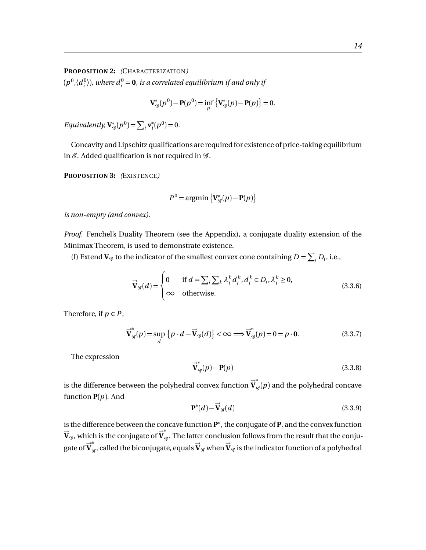#### **PROPOSITION 2:** *(*CHARACTERIZATION*)*

 $(p^0, \langle d^0_i \rangle)$ , where  $d^0_i =$  **0**, is a correlated equilibrium if and only if

$$
\mathbf{V}^*_{\mathscr{G}}(p^0) - \mathbf{P}(p^0) = \inf_p \{ \mathbf{V}^*_{\mathscr{G}}(p) - \mathbf{P}(p) \} = 0.
$$

*Equivalently,*  $V_g^*(p^0) = \sum_i v_i^*$  $i^*(p^0) = 0.$ 

Concavity and Lipschitz qualifications are required for existence of price-taking equilibrium in  $\mathcal E$ . Added qualification is not required in  $\mathcal G$ .

<span id="page-16-1"></span>**PROPOSITION 3:** *(*EXISTENCE*)*

$$
P^{0} = \operatorname{argmin} \left\{ \mathbf{V}_{\mathcal{G}}^{*}(p) - \mathbf{P}(p) \right\}
$$

*is non-empty (and convex).*

*Proof.* Fenchel's Duality Theorem (see the Appendix), a conjugate duality extension of the Minimax Theorem, is used to demonstrate existence.

(I) Extend  $V_g$  to the indicator of the smallest convex cone containing  $D = \sum_i D_i$ , i.e.,

$$
\vec{\mathbf{V}}_{\mathcal{G}}(d) = \begin{cases}\n0 & \text{if } d = \sum_{i} \sum_{k} \lambda_{i}^{k} d_{i}^{k}, d_{i}^{k} \in D_{i}, \lambda_{i}^{k} \ge 0, \\
\infty & \text{otherwise.} \n\end{cases}
$$
\n(3.3.6)

Therefore, if  $p \in P$ ,

<span id="page-16-0"></span>
$$
\overrightarrow{\mathbf{V}}_{g}^{*}(p) = \sup_{d} \{ p \cdot d - \overrightarrow{\mathbf{V}}_{g}(d) \} < \infty \Longrightarrow \overrightarrow{\mathbf{V}}_{g}^{*}(p) = 0 = p \cdot \mathbf{0}.
$$
 (3.3.7)

The expression

$$
\vec{V}_{g}^{*}(p) - P(p) \tag{3.3.8}
$$

is the difference between the polyhedral convex function  $\vec{\mathbf{V}}$ ∗  $\mathcal{G}_{\mathscr{G}}(p)$  and the polyhedral concave function **P**(*p*). And

$$
\mathbf{P}^*(d) - \vec{\mathbf{V}}_{\mathscr{G}}(d) \tag{3.3.9}
$$

is the difference between the concave function **P** ∗ , the conjugate of **P**, and the convex function  $\vec{\mathbf{V}}_{\mathscr{G}}$  , which is the conjugate of  $\vec{\mathbf{V}}$ ∗ th is the conjugate of  $V_g$ . The latter conclusion follows from the result that the conju-<br>\* gate of  $\vec{v}_{g}^*$ , called the biconjugate, equals  $\vec{v}_{g}$  when  $\vec{v}_{g}$  is the indicator function of a polyhedral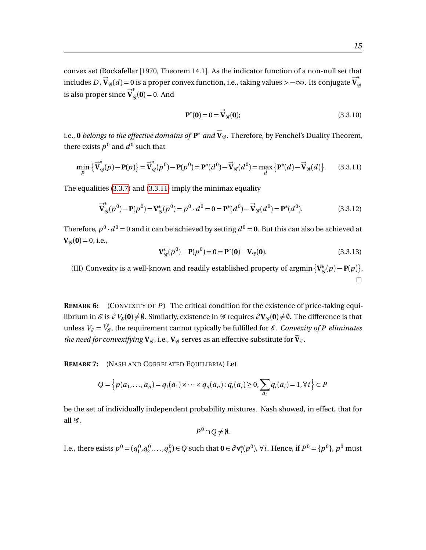convex set (Rockafellar [1970, Theorem 14.1]. As the indicator function of a non-null set that includes  $D$ ,  $\vec{V}_{g}(d) = 0$  is a proper convex function, i.e., taking values >  $-\infty$ . Its conjugate  $\vec{V}$ ∗  $\mathcal{G}$ is also proper since  $\vec{\mathbf{V}}$ ∗  $G_g(\mathbf{0}) = 0.$  And

$$
\mathbf{P}^*(\mathbf{0}) = 0 = \vec{\mathbf{V}}_{\mathscr{G}}(\mathbf{0});\tag{3.3.10}
$$

i.e.,  $\bf{0}$  *belongs to the effective domains of*  $\bf{P}^{*}$  *and*  $\vec{\bf{V}}_{g}$ *. Therefore, by Fenchel's Duality Theorem,* there exists  $p^0$  and  $d^0$  such that

<span id="page-17-0"></span>
$$
\min_{p} \{ \vec{V}_{g}^{*}(p) - P(p) \} = \vec{V}_{g}^{*}(p^{0}) - P(p^{0}) = P^{*}(d^{0}) - \vec{V}_{g}(d^{0}) = \max_{d} \{ P^{*}(d) - \vec{V}_{g}(d) \}.
$$
 (3.3.11)

The equalities [\(3.3.7\)](#page-16-0) and [\(3.3.11\)](#page-17-0) imply the minimax equality

$$
\vec{V}_{g}^{*}(p^{0}) - P(p^{0}) = V_{g}^{*}(p^{0}) = p^{0} \cdot d^{0} = 0 = P^{*}(d^{0}) - \vec{V}_{g}(d^{0}) = P^{*}(d^{0}).
$$
\n(3.3.12)

Therefore,  $p^0 \cdot d^0 = 0$  and it can be achieved by setting  $d^0 = \mathbf{0}$ . But this can also be achieved at  $V_{\mathscr{G}}(0) = 0$ , i.e.,

$$
\mathbf{V}_{\mathcal{G}}^*(p^0) - \mathbf{P}(p^0) = 0 = \mathbf{P}^*(0) - \mathbf{V}_{\mathcal{G}}(0). \tag{3.3.13}
$$

(III) Convexity is a well-known and readily established property of argmin  $\{V_g^*(p) - P(p)\}\$ .  $\Box$ 

**REMARK 6:** (CONVEXITY OF *P* ) The critical condition for the existence of price-taking equilibrium in  $\mathcal{E}$  is  $\partial V_{\mathcal{E}}(0) \neq \emptyset$ . Similarly, existence in  $\mathcal{G}$  requires  $\partial V_{\mathcal{G}}(0) \neq \emptyset$ . The difference is that unless  $V_{\mathcal{E}} = \widehat{V}_{\mathcal{E}}$ , the requirement cannot typically be fulfilled for  $\mathcal{E}$ . *Convexity of P eliminates the need for convexifying*  $V_g$ , i.e.,  $V_g$  serves as an effective substitute for  $\hat{V}_g$ .

**REMARK 7:** (NASH AND CORRELATED EQUILIBRIA) Let

$$
Q = \left\{ p(a_1, ..., a_n) = q_1(a_1) \times \cdots \times q_n(a_n) : q_i(a_i) \ge 0, \sum_{a_i} q_i(a_i) = 1, \forall i \right\} \subset P
$$

be the set of individually independent probability mixtures. Nash showed, in effect, that for all  $\mathscr{G}$ ,

 $P^0$ ∩ $Q \neq \emptyset$ .

I.e., there exists  $p^0 = (q_1^0, q_2^0, \dots, q_n^0) \in Q$  such that  $\mathbf{0} \in \partial \mathbf{v}_i^*$ *i*<sup>( $p$ 0), ∀*i*. Hence, if  $P$ <sup>0</sup> = { $p$ <sup>0</sup>},  $p$ <sup>0</sup> must</sup>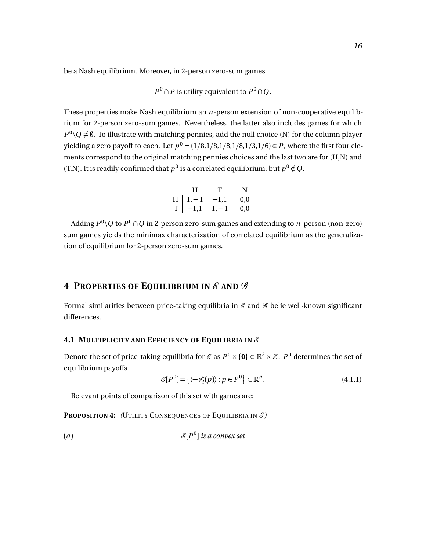be a Nash equilibrium. Moreover, in 2-person zero-sum games,

$$
P^0 \cap P
$$
 is utility equivalent to  $P^0 \cap Q$ .

These properties make Nash equilibrium an *n*-person extension of non-cooperative equilibrium for 2-person zero-sum games. Nevertheless, the latter also includes games for which  $P^0\setminus Q \neq \emptyset$ . To illustrate with matching pennies, add the null choice (N) for the column player yielding a zero payoff to each. Let  $p^0 = (1/8,1/8,1/8,1/8,1/3,1/6) \in P$ , where the first four elements correspond to the original matching pennies choices and the last two are for (H,N) and (T,N). It is readily confirmed that  $p^0$  is a correlated equilibrium, but  $p^0 \notin Q$ .

|   | н |              |
|---|---|--------------|
| H |   | $_{\rm 0,0}$ |
| Т |   | $_{\rm 0.0}$ |

Adding  $P^0 \backslash Q$  to  $P^0 \cap Q$  in 2-person zero-sum games and extending to *n*-person (non-zero) sum games yields the minimax characterization of correlated equilibrium as the generalization of equilibrium for 2-person zero-sum games.

# <span id="page-18-0"></span>**4 PROPERTIES OF EQUILIBRIUM IN** E **AND** G

Formal similarities between price-taking equilibria in  $\mathscr E$  and  $\mathscr G$  belie well-known significant differences.

# <span id="page-18-1"></span>**4.1 MULTIPLICITY AND EFFICIENCY OF EQUILIBRIA IN** E

Denote the set of price-taking equilibria for  $\mathscr E$  as  $P^0\times \{\mathbf 0\}\subset \mathbb R^\ell\times Z$  .  $P^0$  determines the set of equilibrium payoffs

$$
\mathcal{E}[P^0] = \left\{ \langle -\nu_i^*(p) \rangle : p \in P^0 \right\} \subset \mathbb{R}^n. \tag{4.1.1}
$$

Relevant points of comparison of this set with games are:

PROPOSITION 4: (UTILITY CONSEQUENCES OF EQUILIBRIA IN  $\mathscr{E}$ )

(*a*)  $\mathscr{E}[P]$ 0 ] *is a convex set*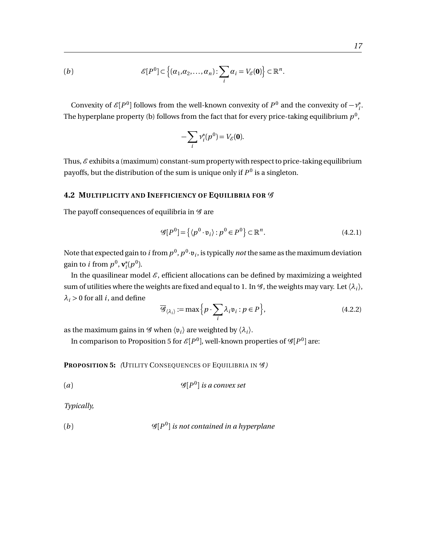(b) 
$$
\mathscr{E}[P^0] \subset \left\{ (\alpha_1, \alpha_2, \ldots, \alpha_n) \colon \sum_i \alpha_i = V_{\mathscr{E}}(\mathbf{0}) \right\} \subset \mathbb{R}^n.
$$

Convexity of  $\mathscr{E}[P^0]$  follows from the well-known convexity of  $P^0$  and the convexity of  $-\nu_i^*$ *i* . The hyperplane property (b) follows from the fact that for every price-taking equilibrium  $p^0$ ,

$$
-\sum_i \nu_i^*(p^0) = V_{\mathscr{E}}(\mathbf{0}).
$$

Thus,  $\mathscr E$  exhibits a (maximum) constant-sum property with respect to price-taking equilibrium payoffs, but the distribution of the sum is unique only if  $P^0$  is a singleton.

# <span id="page-19-0"></span>**4.2 MULTIPLICITY AND INEFFICIENCY OF EQUILIBRIA FOR** G

The payoff consequences of equilibria in  $\mathscr G$  are

$$
\mathcal{G}[P^0] = \left\{ \langle p^0 \cdot \mathfrak{v}_i \rangle : p^0 \in P^0 \right\} \subset \mathbb{R}^n. \tag{4.2.1}
$$

Note that expected gain to  $i$  from  $p^0$ ,  $p^0{\cdot}{\mathfrak v}_i$ , is typically  $not$  the same as the maximum deviation gain to *i* from  $p^0$ ,  $\mathbf{v}_i^*$  $i^*(p^0)$ .

In the quasilinear model  $\mathcal{E}$ , efficient allocations can be defined by maximizing a weighted sum of utilities where the weights are fixed and equal to 1. In  $\mathscr G$ , the weights may vary. Let  $\langle \lambda_i \rangle$ ,  $\lambda_i$  > 0 for all *i*, and define

$$
\overline{\mathcal{G}}_{\langle \lambda_i \rangle} := \max \Big\{ p \cdot \sum_i \lambda_i \mathfrak{v}_i : p \in P \Big\},\tag{4.2.2}
$$

as the maximum gains in  $\mathscr G$  when  $\langle \mathfrak v_i \rangle$  are weighted by  $\langle \lambda_i \rangle$ .

In comparison to Proposition 5 for  $\mathscr{E}[P^0]$ , well-known properties of  $\mathscr{G}[P^0]$  are:

**PROPOSITION 5:** *(UTILITY CONSEQUENCES OF EQUILIBRIA IN*  $\mathscr{G}$ *)* 

(*a*) G[*P* 0 ] *is a convex set*

*Typically,*

(b) 
$$
\mathscr{G}[P^0]
$$
 is not contained in a hyperplane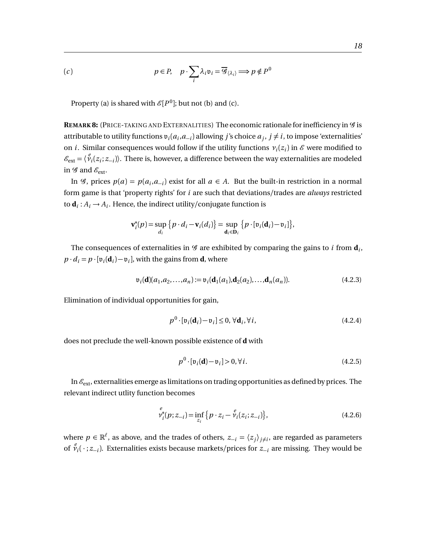(c) 
$$
p \in P
$$
,  $p \cdot \sum_{i} \lambda_i v_i = \overline{\mathscr{G}}_{\langle \lambda_i \rangle} \Longrightarrow p \notin P^0$ 

Property (a) is shared with  $\mathscr{E}[P^0]$ ; but not (b) and (c).

REMARK 8: (PRICE-TAKING AND EXTERNALITIES) The economic rationale for inefficiency in  $\mathscr G$  is attributable to utility functions  $v_i(a_i, a_{-i})$  allowing *j*'s choice  $a_j$ ,  $j \neq i$ , to impose 'externalities' on *i*. Similar consequences would follow if the utility functions  $v_i(z_i)$  in  $\mathscr E$  were modified to  $\mathscr{E}_{ext} = \langle \mathscr{V}_i(z_i; z_{-i}) \rangle$ . There is, however, a difference between the way externalities are modeled in  $\mathscr G$  and  $\mathscr E_{\rm ext}$ .

In  $\mathscr{G}$ , prices  $p(a) = p(a_i, a_{-i})$  exist for all  $a \in A$ . But the built-in restriction in a normal form game is that 'property rights' for *i* are such that deviations/trades are *always* restricted to  $\mathbf{d}_i: A_i \to A_i$ . Hence, the indirect utility/conjugate function is

$$
\mathbf{v}_i^*(p) = \sup_{d_i} \left\{ p \cdot d_i - \mathbf{v}_i(d_i) \right\} = \sup_{\mathbf{d}_i \in \mathbf{D}_i} \left\{ p \cdot [\mathfrak{v}_i(\mathbf{d}_i) - \mathfrak{v}_i] \right\},
$$

The consequences of externalities in  $\mathscr G$  are exhibited by comparing the gains to  $i$  from  $\mathbf{d}_i$ ,  $p \cdot d_i = p \cdot [\mathfrak{v}_i(\mathbf{d}_i) - \mathfrak{v}_i]$ , with the gains from **d**, where

$$
\mathfrak{v}_i(\mathbf{d})(a_1, a_2, \dots, a_n) := \mathfrak{v}_i(\mathbf{d}_1(a_1), \mathbf{d}_2(a_2), \dots, \mathbf{d}_n(a_n)).
$$
\n(4.2.3)

Elimination of individual opportunities for gain,

$$
p^{0} \cdot [\mathfrak{v}_{i}(\mathbf{d}_{i}) - \mathfrak{v}_{i}] \leq 0, \forall \mathbf{d}_{i}, \forall i,
$$
\n(4.2.4)

does not preclude the well-known possible existence of **d** with

$$
p^{0} \cdot [\mathfrak{v}_{i}(\mathbf{d}) - \mathfrak{v}_{i}] > 0, \forall i.
$$
 (4.2.5)

In  $\mathcal{E}_{ext}$ , externalities emerge as limitations on trading opportunities as defined by prices. The relevant indirect utlity function becomes

$$
\begin{aligned} e_i^* (p; z_{-i}) &= \inf_{z_i} \left\{ p \cdot z_i - \mathcal{V}_i(z_i; z_{-i}) \right\}, \end{aligned} \tag{4.2.6}
$$

where  $p \in \mathbb{R}^{\ell}$ , as above, and the trades of others,  $z_{-i} = \langle z_j \rangle_{j \neq i}$ , are regarded as parameters of  $\hat{v}_i(\cdot; z_{-i})$ . Externalities exists because markets/prices for  $z_{-i}$  are missing. They would be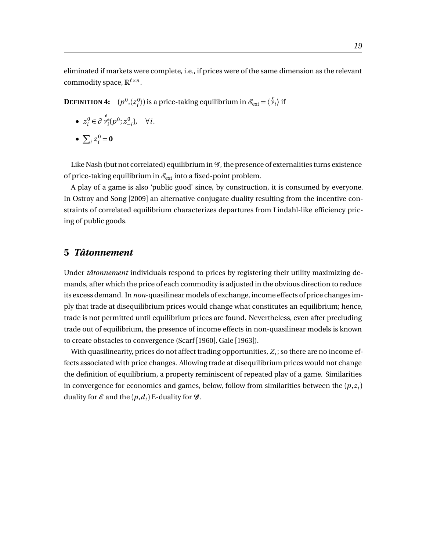eliminated if markets were complete, i.e., if prices were of the same dimension as the relevant commodity space,  $\mathbb{R}^{\ell \times n}$ .

**DEFINITION 4:**  $(p^0, \langle z_i^0 \rangle)$  is a price-taking equilibrium in  $\mathscr{E}_{\text{ext}} = \langle \stackrel{e}{\mathcal{V}}_i \rangle$  if

• 
$$
z_i^0 \in \partial \stackrel{e}{v_i^*} (p^0; z_{-i}^0)
$$
,  $\forall i$ .

•  $\sum_{i} z_i^0 = 0$ 

Like Nash (but not correlated) equilibrium in  $\mathcal G$ , the presence of externalities turns existence of price-taking equilibrium in  $\mathcal{E}_{ext}$  into a fixed-point problem.

A play of a game is also 'public good' since, by construction, it is consumed by everyone. In Ostroy and Song [2009] an alternative conjugate duality resulting from the incentive constraints of correlated equilibrium characterizes departures from Lindahl-like efficiency pricing of public goods.

# <span id="page-21-0"></span>**5** *Tâtonnement*

Under *tâtonnement* individuals respond to prices by registering their utility maximizing demands, after which the price of each commodity is adjusted in the obvious direction to reduce its excess demand. In *non*-quasilinear models of exchange, income effects of price changes imply that trade at disequilibrium prices would change what constitutes an equilibrium; hence, trade is not permitted until equilibrium prices are found. Nevertheless, even after precluding trade out of equilibrium, the presence of income effects in non-quasilinear models is known to create obstacles to convergence (Scarf [1960], Gale [1963]).

With quasilinearity, prices do not affect trading opportunities,  $Z_i$ ; so there are no income effects associated with price changes. Allowing trade at disequilibrium prices would not change the definition of equilibrium, a property reminiscent of repeated play of a game. Similarities in convergence for economics and games, below, follow from similarities between the  $(p,z_i)$ duality for  $\mathcal E$  and the  $(p, d_i)$  E-duality for  $\mathcal G$ .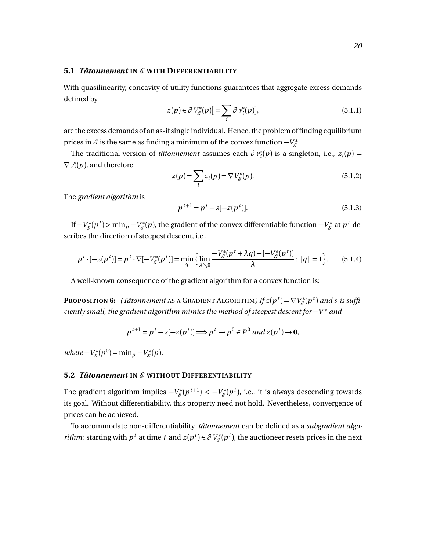#### <span id="page-22-0"></span>**5.1** *Tâtonnement* **IN** E **WITH DIFFERENTIABILITY**

With quasilinearity, concavity of utility functions guarantees that aggregate excess demands defined by

$$
z(p) \in \partial V_{\mathcal{E}}^*(p) \Big[ = \sum_i \partial \nu_i^*(p) \Big], \tag{5.1.1}
$$

are the excess demands of an as-if single individual. Hence, the problem of finding equilibrium prices in  $\mathscr E$  is the same as finding a minimum of the convex function  $-V_{\mathscr E}^*$ .

The traditional version of *tâtonnement* assumes each  $\partial v_i^*(p)$  is a singleton, i.e.,  $z_i(p)$  = ∇*ν* ∗  $\hat{f}_i^*(p)$ , and therefore

$$
z(p) = \sum_{i} z_i(p) = \nabla V_{\mathcal{E}}^*(p).
$$
 (5.1.2)

The *gradient algorithm* is

$$
p^{t+1} = p^t - s[-z(p^t)].
$$
\n(5.1.3)

If  $-V_{\mathscr{E}}^*(p^t)$  > min $_p - V_{\mathscr{E}}^*(p)$ , the gradient of the convex differentiable function  $-V_{\mathscr{E}}^*$  at  $p^t$  describes the direction of steepest descent, i.e.,

$$
p^t \cdot [-z(p^t)] = p^t \cdot \nabla [-V^*_{\mathcal{E}}(p^t)] = \min_{q} \left\{ \lim_{\lambda \searrow 0} \frac{-V^*_{\mathcal{E}}(p^t + \lambda q) - [-V^*_{\mathcal{E}}(p^t)]}{\lambda} : ||q|| = 1 \right\}.
$$
 (5.1.4)

A well-known consequence of the gradient algorithm for a convex function is:

**PROPOSITION 6:** (Tâtonnement AS A GRADIENT ALGORITHM) If  $z(p^t) = \nabla V^*_{\mathscr{E}}(p^t)$  and s is suffi*ciently small, the gradient algorithm mimics the method of steepest descent for* −*V* <sup>∗</sup> *and*

$$
p^{t+1} = p^t - s[-z(p^t)] \Longrightarrow p^t \to p^0 \in P^0
$$
 and  $z(p^t) \to 0$ ,

 $where -V_{\mathcal{E}}^{*}(p^{0}) = \min_{p} -V_{\mathcal{E}}^{*}(p).$ 

#### <span id="page-22-1"></span>**5.2** *Tâtonnement* **IN** E **WITHOUT DIFFERENTIABILITY**

The gradient algorithm implies  $-V_{\mathscr{E}}^*(p^{t+1}) < -V_{\mathscr{E}}^*(p^t)$ , i.e., it is always descending towards its goal. Without differentiability, this property need not hold. Nevertheless, convergence of prices can be achieved.

To accommodate non-differentiability, *tâtonnement* can be defined as a *subgradient algorithm*: starting with  $p^t$  at time  $t$  and  $z(p^t) \in \partial V^*_{\mathcal{E}}(p^t)$ , the auctioneer resets prices in the next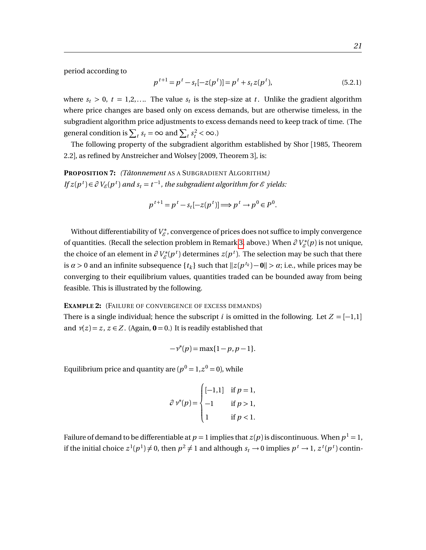period according to

$$
p^{t+1} = p^t - s_t[-z(p^t)] = p^t + s_t z(p^t),
$$
\n(5.2.1)

where  $s_t > 0$ ,  $t = 1,2,...$  The value  $s_t$  is the step-size at *t*. Unlike the gradient algorithm where price changes are based only on excess demands, but are otherwise timeless, in the subgradient algorithm price adjustments to excess demands need to keep track of time. (The general condition is  $\sum_{t} s_t = \infty$  and  $\sum_{t} s_t^2 < \infty$ .)

The following property of the subgradient algorithm established by Shor [1985, Theorem 2.2], as refined by Anstreicher and Wolsey [2009, Theorem 3], is:

**PROPOSITION 7:** *(Tâtonnement* AS A SUBGRADIENT ALGORITHM*) If*  $z(p^t) \in \partial V_{\mathscr{E}}(p^t)$  and  $s_t = t^{-1}$ , the subgradient algorithm for  $\mathscr{E}$  yields:

$$
p^{t+1} = p^t - s_t[-z(p^t)] \Longrightarrow p^t \to p^0 \in P^0.
$$

Without differentiability of  $V_{\mathscr{E}}^*$ , convergence of prices does not suffice to imply convergence of quantities. (Recall the selection problem in Remark [3,](#page-11-0) above.) When  $\partial V^*_{\mathscr{E}}(p)$  is not unique, the choice of an element in  $\partial V^*_{\mathscr{E}}(p^t)$  determines  $z(p^t)$ . The selection may be such that there is  $\alpha > 0$  and an infinite subsequence  $\{t_k\}$  such that  $||z(p^{t_k}) - \mathbf{0}|| > \alpha$ ; i.e., while prices may be converging to their equilibrium values, quantities traded can be bounded away from being feasible. This is illustrated by the following.

#### **EXAMPLE 2:** (FAILURE OF CONVERGENCE OF EXCESS DEMANDS)

There is a single individual; hence the subscript *i* is omitted in the following. Let  $Z = [-1,1]$ and  $v(z) = z$ ,  $z \in Z$ . (Again,  $\mathbf{0} = 0$ .) It is readily established that

$$
-\nu^*(p) = \max\{1-p, p-1\}.
$$

Equilibrium price and quantity are  $(p^0 = 1, z^0 = 0)$ , while

$$
\partial \nu^*(p) = \begin{cases}\n[-1,1] & \text{if } p = 1, \\
-1 & \text{if } p > 1, \\
1 & \text{if } p < 1.\n\end{cases}
$$

Failure of demand to be differentiable at  $p = 1$  implies that  $z(p)$  is discontinuous. When  $p^1 = 1$ , if the initial choice  $z^1(p^1) \neq 0$ , then  $p^2 \neq 1$  and although  $s_t \to 0$  implies  $p^t \to 1$ ,  $z^t(p^t)$  contin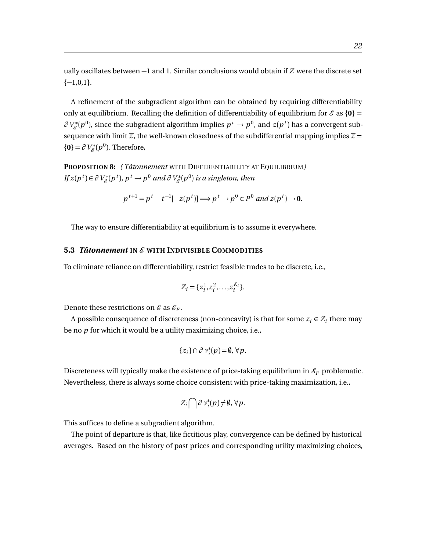ually oscillates between −1 and 1. Similar conclusions would obtain if *Z* were the discrete set  $\{-1,0,1\}.$ 

A refinement of the subgradient algorithm can be obtained by requiring differentiability only at equilibrium. Recalling the definition of differentiability of equilibrium for  $\mathcal{E}$  as  $\{0\}$  =  $\partial V^*_{\mathscr{E}}(p^0)$ , since the subgradient algorithm implies  $p^t \to p^0$ , and  $z(p^t)$  has a convergent subsequence with limit  $\overline{z}$ , the well-known closedness of the subdifferential mapping implies  $\overline{z}$  =  ${ \Theta } = \partial V_{\mathscr{E}}^*(p^0)$ . Therefore,

**PROPOSITION 8:** *( Tâtonnement* WITH DIFFERENTIABILITY AT EQUILIBRIUM*) If*  $z(p^t) \in \partial V_{\mathscr{E}}^*(p^t)$ ,  $p^t \to p^0$  and  $\partial V_{\mathscr{E}}^*(p^0)$  is a singleton, then

$$
p^{t+1} = p^t - t^{-1}[-z(p^t)] \Longrightarrow p^t \to p^0 \in P^0 \text{ and } z(p^t) \to \mathbf{0}.
$$

The way to ensure differentiability at equilibrium is to assume it everywhere.

# <span id="page-24-0"></span>**5.3** *Tâtonnement* **IN** E **WITH INDIVISIBLE COMMODITIES**

To eliminate reliance on differentiability, restrict feasible trades to be discrete, i.e.,

$$
Z_i = \{z_i^1, z_i^2, \dots, z_i^{K_i}\}.
$$

Denote these restrictions on  $\mathcal E$  as  $\mathcal E_F$ .

A possible consequence of discreteness (non-concavity) is that for some  $z_i \in Z_i$  there may be no *p* for which it would be a utility maximizing choice, i.e.,

$$
\{z_i\} \cap \partial \nu_i^*(p) = \emptyset, \forall p.
$$

Discreteness will typically make the existence of price-taking equilibrium in  $\mathcal{E}_F$  problematic. Nevertheless, there is always some choice consistent with price-taking maximization, i.e.,

$$
Z_i \bigcap \partial \nu_i^*(p) \neq \emptyset, \forall p.
$$

This suffices to define a subgradient algorithm.

The point of departure is that, like fictitious play, convergence can be defined by historical averages. Based on the history of past prices and corresponding utility maximizing choices,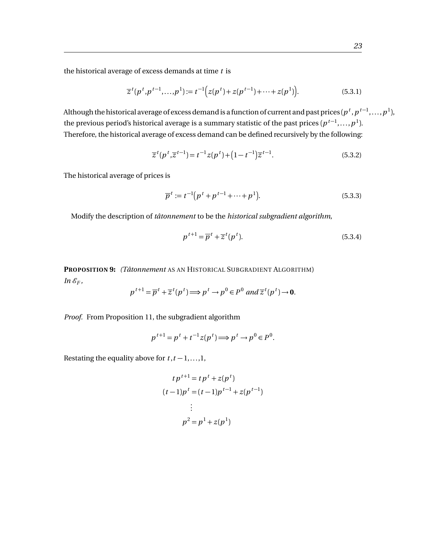the historical average of excess demands at time *t* is

$$
\overline{z}^{t}(p^{t}, p^{t-1}, \dots, p^{1}) := t^{-1} \Big( z(p^{t}) + z(p^{t-1}) + \dots + z(p^{1}) \Big). \tag{5.3.1}
$$

Although the historical average of excess demand is a function of current and past prices (  $p^t$  ,  $p^{t-1},\ldots,p^{1}$  ), the previous period's historical average is a summary statistic of the past prices  $(p^{\, t-1}, \ldots, p^{\, 1}).$ Therefore, the historical average of excess demand can be defined recursively by the following:

$$
\overline{z}^{t}(p^{t}, \overline{z}^{t-1}) = t^{-1}z(p^{t}) + (1 - t^{-1})\overline{z}^{t-1}.
$$
\n(5.3.2)

The historical average of prices is

$$
\overline{p}^t := t^{-1} \big( p^t + p^{t-1} + \dots + p^1 \big). \tag{5.3.3}
$$

Modify the description of *tâtonnement* to be the *historical subgradient algorithm*,

$$
p^{t+1} = \overline{p}^t + \overline{z}^t(p^t). \tag{5.3.4}
$$

**PROPOSITION 9:** *(Tâtonnement* AS AN HISTORICAL SUBGRADIENT ALGORITHM)  $In \mathcal{E}_F$ ,

$$
p^{t+1} = \overline{p}^t + \overline{z}^t(p^t) \Longrightarrow p^t \to p^0 \in P^0 \text{ and } \overline{z}^t(p^t) \to \mathbf{0}.
$$

*Proof.* From Proposition 11, the subgradient algorithm

$$
p^{t+1} = p^t + t^{-1}z(p^t) \Longrightarrow p^t \to p^0 \in P^0.
$$

Restating the equality above for  $t, t-1, \ldots, 1$ ,

$$
tp^{t+1} = tp^t + z(p^t)
$$

$$
(t-1)p^t = (t-1)p^{t-1} + z(p^{t-1})
$$

$$
\vdots
$$

$$
p^2 = p^1 + z(p^1)
$$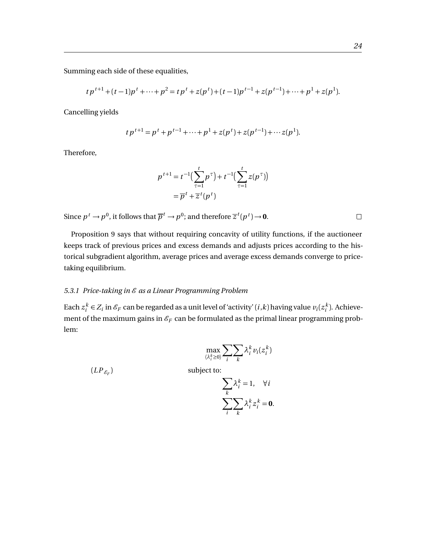Summing each side of these equalities,

$$
tp^{t+1} + (t-1)p^t + \dots + p^2 = tp^t + z(p^t) + (t-1)p^{t-1} + z(p^{t-1}) + \dots + p^1 + z(p^1).
$$

Cancelling yields

$$
tp^{t+1} = p^t + p^{t-1} + \dots + p^1 + z(p^t) + z(p^{t-1}) + \dots + z(p^1).
$$

Therefore,

$$
p^{t+1} = t^{-1} \left( \sum_{\tau=1}^{t} p^{\tau} \right) + t^{-1} \left( \sum_{\tau=1}^{t} z(p^{\tau}) \right)
$$

$$
= \overline{p}^t + \overline{z}^t(p^t)
$$

Since  $p^t \to p^0$ , it follows that  $\overline{p}^t \to p^0$ ; and therefore  $\overline{z}^t(p^t) \to 0$ .

Proposition 9 says that without requiring concavity of utility functions, if the auctioneer keeps track of previous prices and excess demands and adjusts prices according to the historical subgradient algorithm, average prices and average excess demands converge to pricetaking equilibrium.

## <span id="page-26-0"></span>5.3.1 Price-taking in  $\mathscr E$  as a Linear Programming Problem

Each  $z_i^k \in Z_i$  in  $\mathscr{E}_F$  can be regarded as a unit level of 'activity'  $(i, k)$  having value  $v_i(z_i^k)$ . Achievement of the maximum gains in  $\mathcal{E}_F$  can be formulated as the primal linear programming problem:

$$
\max_{\langle \lambda_i^k \geq 0 \rangle} \sum_i \sum_k \lambda_i^k v_i(z_i^k)
$$

 $(LP_{\mathcal{E}_F})$ 

subject to:

$$
\sum_{k} \lambda_{i}^{k} = 1, \quad \forall i
$$

$$
\sum_{i} \sum_{k} \lambda_{i}^{k} z_{i}^{k} = 0.
$$

 $\Box$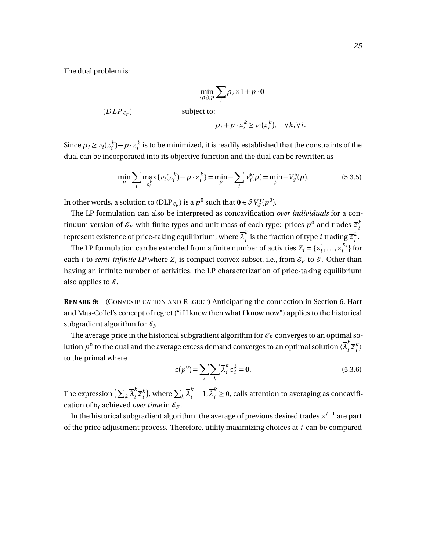The dual problem is:

$$
\min_{\langle \rho_i \rangle, p} \sum_i \rho_i \times 1 + p \cdot \mathbf{0}
$$

$$
(DLP_{\mathscr{E}_F})
$$
 subject to:

$$
\rho_i + p \cdot z_i^k \ge v_i(z_i^k), \quad \forall k, \forall i.
$$

Since  $\rho_i \ge v_i(z_i^k) - p \cdot z_i^k$  is to be minimized, it is readily established that the constraints of the dual can be incorporated into its objective function and the dual can be rewritten as

$$
\min_{p} \sum_{i} \max_{z_i^k} \{ v_i(z_i^k) - p \cdot z_i^k \} = \min_{p} - \sum_{i} v_i^*(p) = \min_{p} -V_{\mathcal{E}}^*(p). \tag{5.3.5}
$$

In other words, a solution to (DLP<sub>EF</sub>) is a  $p^0$  such that  $\mathbf{0} \in \partial V^*_{\mathscr{E}}(p^0)$ .

The LP formulation can also be interpreted as concavification *over individuals* for a continuum version of  $\mathscr{E}_F$  with finite types and unit mass of each type: prices  $p^0$  and trades  $\overline{z}_i^k$ *i* represent existence of price-taking equilibrium, where  $\overline{\lambda}_{i}^{k}$  $\frac{\kappa}{i}$  is the fraction of type *i* trading  $\overline{z}_i^k$ *i* .

The LP formulation can be extended from a finite number of activities  $Z_i = \{z_i^1, \ldots, z_i^{K_i}\}$  $\binom{K_i}{i}$  for each *i* to *semi-infinite LP* where  $Z_i$  is compact convex subset, i.e., from  $\mathcal{E}_F$  to  $\mathcal{E}$ . Other than having an infinite number of activities, the LP characterization of price-taking equilibrium also applies to  $\mathscr E$ .

**REMARK 9:** (CONVEXIFICATION AND REGRET) Anticipating the connection in Section 6, Hart and Mas-Collel's concept of regret ("if I knew then what I know now") applies to the historical subgradient algorithm for  $\mathcal{E}_F$ .

The average price in the historical subgradient algorithm for  $\mathscr{E}_F$  converges to an optimal solution  $p^0$  to the dual and the average excess demand converges to an optimal solution  $\langle \overline{\lambda}^k_i\rangle$  $\sum_{i}^{k} \overline{z}_{i}^{k}$  $\binom{k}{i}$ to the primal where

$$
\overline{z}(p^0) = \sum_{i} \sum_{k} \overline{\lambda}_i^k \overline{z}_i^k = \mathbf{0}.
$$
 (5.3.6)

The expression  $(\sum_k \overline{\lambda}^k_i)$  $\sum_{i}^{k} \overline{z}_{i}^{k}$  $\sum_k \overline{\lambda}_i^k = 1, \overline{\lambda}_i^k \geq 0$ , calls attention to averaging as concavification of  $v_i$  achieved *over time* in  $\mathcal{E}_F$ .

In the historical subgradient algorithm, the average of previous desired trades  $\overline{z}^{t-1}$  are part of the price adjustment process. Therefore, utility maximizing choices at *t* can be compared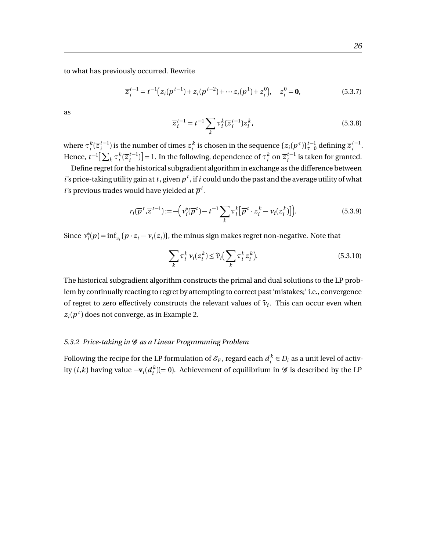to what has previously occurred. Rewrite

$$
\overline{z}_{i}^{t-1} = t^{-1} (z_{i}(p^{t-1}) + z_{i}(p^{t-2}) + \cdots z_{i}(p^{1}) + z_{i}^{0}), \quad z_{i}^{0} = \mathbf{0},
$$
\n(5.3.7)

as

$$
\overline{z}_{i}^{t-1} = t^{-1} \sum_{k} \tau_{i}^{k} (\overline{z}_{i}^{t-1}) z_{i}^{k}, \qquad (5.3.8)
$$

where  $\tau_i^k(\overline{z}_i^{t-1})$  $i_t^{t-1}$ ) is the number of times  $z_i^k$  is chosen in the sequence  $\{z_i(p^\tau)\}_{\tau=0}^{t-1}$  $_{\tau=0}^{t-1}$  defining  $\overline{z}_{i}^{t-1}$  $i^{-1}$ . Hence,  $t^{-1} \left[ \sum_k \tau_i^k (\overline{z}_i^{t-1}) \right]$  $\left[\frac{t-1}{i}\right]$  = 1. In the following, dependence of  $\tau_i^k$  on  $\overline{z}_i^{t-1}$  $i^{l-1}$  is taken for granted.

Define regret for the historical subgradient algorithm in exchange as the difference between *i*'s price-taking utility gain at *t* , given  $\overline{p}^t$  , if *i* could undo the past and the average utility of what *i*'s previous trades would have yielded at  $\overline{p}^t$ .

$$
r_i(\overline{p}^t, \overline{z}^{t-1}) := -\Big(\nu_i^*(\overline{p}^t) - t^{-1} \sum_k \tau_i^k [\overline{p}^t \cdot z_i^k - \nu_i(z_i^k)]\Big). \tag{5.3.9}
$$

Since *ν* ∗  $\hat{f}_i^*(p) = \inf_{z_i} \{p \cdot z_i - \nu_i(z_i)\},$  the minus sign makes regret non-negative. Note that

$$
\sum_{k} \tau_i^k \nu_i(z_i^k) \le \widehat{\nu}_i \Big( \sum_{k} \tau_i^k z_i^k \Big). \tag{5.3.10}
$$

The historical subgradient algorithm constructs the primal and dual solutions to the LP problem by continually reacting to regret by attempting to correct past 'mistakes;' i.e., convergence of regret to zero effectively constructs the relevant values of  $\hat{\nu}_i$ . This can occur even when  $z_i(p^t)$  does not converge, as in Example 2.

#### <span id="page-28-0"></span>*5.3.2 Price-taking in* G *as a Linear Programming Problem*

Following the recipe for the LP formulation of  $\mathscr{E}_F$ , regard each  $d_i^k \in D_i$  as a unit level of activity  $(i,k)$  having value  $-\mathbf{v}_i(d_i^k) (= 0)$ . Achievement of equilibrium in  $\mathscr G$  is described by the LP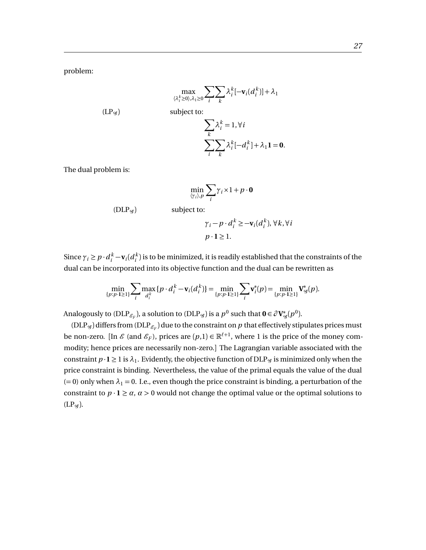problem:

$$
\max_{\langle \lambda_i^k \geq 0 \rangle, \lambda_1 \geq 0} \sum_i \sum_k \lambda_i^k [-\mathbf{v}_i(d_i^k)] + \lambda_1
$$

$$
(LP_{\mathscr{G}}) \qquad \qquad \text{subject to:}
$$

$$
\sum_{k} \lambda_i^k = 1, \forall i
$$
  

$$
\sum_{i} \sum_{k} \lambda_i^k [-d_i^k] + \lambda_1 \mathbf{1} = \mathbf{0}.
$$

The dual problem is:

$$
\min_{\langle \gamma_i \rangle, p} \sum_i \gamma_i \times 1 + p \cdot \mathbf{0}
$$

 $(DLP<sub>g</sub>)$  subject to:

$$
\gamma_i - p \cdot d_i^k \ge -\mathbf{v}_i(d_i^k), \forall k, \forall i
$$
  

$$
p \cdot \mathbf{1} \ge 1.
$$

Since  $\gamma_i \geq p \cdot d_i^k - \mathbf{v}_i(d_i^k)$  is to be minimized, it is readily established that the constraints of the dual can be incorporated into its objective function and the dual can be rewritten as

$$
\min_{\{p:p\cdot 1\geq 1\}} \sum_{i} \max_{d_i^k} \{p \cdot d_i^k - \mathbf{v}_i(d_i^k)\} = \min_{\{p:p\cdot 1\geq 1\}} \sum_{i} \mathbf{v}_i^*(p) = \min_{\{p:p\cdot 1\geq 1\}} \mathbf{V}_{\mathcal{G}}^*(p).
$$

Analogously to  $(DLP_{\mathscr{E}_F})$ , a solution to  $(DLP_{\mathscr{G}})$  is a  $p^0$  such that  $\mathbf{0} \in \partial \mathbf{V}_{\mathscr{G}}^*(p^0)$ .

(DLP<sub>G</sub>) differs from (DLP<sub>EF</sub>) due to the constraint on  $p$  that effectively stipulates prices must be non-zero. [In  $\mathscr E$  (and  $\mathscr E_F$ ), prices are  $(p,1) \in \mathbb R^{\ell+1}$ , where 1 is the price of the money commodity; hence prices are necessarily non-zero.] The Lagrangian variable associated with the constraint  $p \cdot \mathbf{l} \geq 1$  is  $\lambda_1$ . Evidently, the objective function of DLP<sub>g</sub> is minimized only when the price constraint is binding. Nevertheless, the value of the primal equals the value of the dual  $(= 0)$  only when  $\lambda_1 = 0$ . I.e., even though the price constraint is binding, a perturbation of the constraint to  $p \cdot \mathbf{l} \ge a$ ,  $a > 0$  would not change the optimal value or the optimal solutions to  $(LP_{\mathscr{G}}).$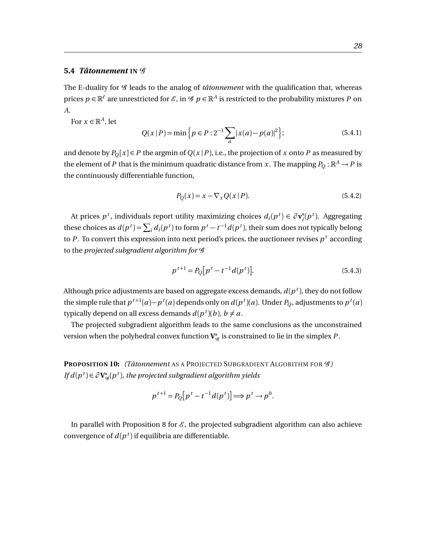## <span id="page-30-0"></span>**5.4** *Tâtonnement* **IN** G

The E-duality for  $G$  leads to the analog of *tâtonnement* with the qualification that, whereas prices  $p\in\mathbb{R}^\ell$  are unrestricted for  $\mathscr{E}$ , in  $\mathscr{G}$   $p\in\mathbb{R}^A$  is restricted to the probability mixtures  $P$  on *A*.

For  $x \in \mathbb{R}^A$ , let

$$
Q(x | P) = \min \left\{ p \in P : 2^{-1} \sum_{a} |x(a) - p(a)|^2 \right\};
$$
\n(5.4.1)

and denote by  $P_0[x] \in P$  the argmin of  $Q(x|P)$ , i.e., the projection of *x* onto *P* as measured by the element of *P* that is the minimum quadratic distance from *x*. The mapping  $P_Q : \mathbb{R}^A \to P$  is the continuously differentiable function,

$$
P_Q(x) = x - \nabla_x Q(x | P). \tag{5.4.2}
$$

At prices  $p^t$ , individuals report utility maximizing choices  $d_i(p^t) \in \partial \mathbf{v}_i^*$  $i$ <sup>*t*</sup></sup> $(p<sup>t</sup>)$ . Aggregating these choices as  $d(p^t) = \sum_i d_i(p^t)$  to form  $p^t - t^{-1}d(p^t)$ , their sum does not typically belong to  $P$  . To convert this expression into next period's prices, the auctioneer revises  $p^t$  according to the *projected subgradient algorithm for* G

$$
p^{t+1} = P_Q[p^t - t^{-1}d(p^t)].
$$
\n(5.4.3)

Although price adjustments are based on aggregate excess demands,  $d(p^{\,t})$ , they do not follow the simple rule that  $p^{t+1}(a) - p^t(a)$  depends only on  $d(p^t)(a)$ . Under  $P_Q$ , adjustments to  $p^t(a)$ typically depend on all excess demands  $d(p^t)(b)$ ,  $b \neq a$ .

The projected subgradient algorithm leads to the same conclusions as the unconstrained version when the polyhedral convex function  $\mathbf{V}_{\mathscr{G}}^{*}$  is constrained to lie in the simplex  $P$  .

**PROPOSITION 10:** *(Tâtonnement* AS A PROJECTED SUBGRADIENT ALGORITHM FOR G*) If*  $d(p^t) \in \partial V^*_{\mathscr{G}}(p^t)$ , the projected subgradient algorithm yields

$$
p^{t+1} = P_Q[p^t - t^{-1}d(p^t)] \Longrightarrow p^t \to p^0.
$$

In parallel with Proposition 8 for  $\mathcal{E}$ , the projected subgradient algorithm can also achieve convergence of  $d(p^t)$  if equilibria are differentiable.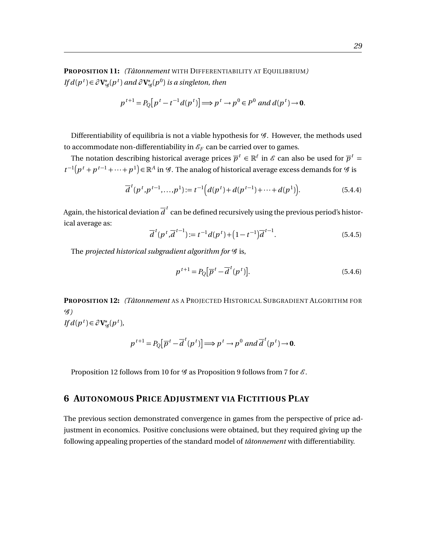**PROPOSITION 11:** *(Tâtonnement* WITH DIFFERENTIABILITY AT EQUILIBRIUM*) If*  $d(p^t) \in \partial \mathbf{V}_{\mathscr{G}}^*(p^t)$  and  $\partial \mathbf{V}_{\mathscr{G}}^*(p^0)$  is a singleton, then

$$
p^{t+1} = P_Q[p^t - t^{-1}d(p^t)] \Longrightarrow p^t \to p^0 \in P^0 \text{ and } d(p^t) \to \mathbf{0}.
$$

Differentiability of equilibria is not a viable hypothesis for  $\mathcal G$ . However, the methods used to accommodate non-differentiability in  $\mathcal{E}_F$  can be carried over to games.

The notation describing historical average prices  $\overline{p}^t \in \mathbb{R}^\ell$  in  $\mathscr{E}$  can also be used for  $\overline{p}^t$  = *t*<sup>-1</sup>( $p$ <sup>*t*</sup> +  $p$ <sup>*t*-1</sup> + ··· +  $p$ <sup>1</sup>)∈ℝ<sup>*A*</sup> in *G*. The analog of historical average excess demands for *G* is

$$
\overline{d}^{t}(p^{t}, p^{t-1}, \dots, p^{1}) := t^{-1} \Big( d(p^{t}) + d(p^{t-1}) + \dots + d(p^{1}) \Big). \tag{5.4.4}
$$

Again, the historical deviation  $\overline{d}^t$  can be defined recursively using the previous period's historical average as:

$$
\overline{d}^{t}(p^{t}, \overline{d}^{t-1}) := t^{-1}d(p^{t}) + (1 - t^{-1})\overline{d}^{t-1}.
$$
\n(5.4.5)

The *projected historical subgradient algorithm for*  $\mathcal G$  is,

$$
p^{t+1} = P_Q[\overline{p}^t - \overline{d}^t(p^t)].
$$
\n(5.4.6)

**PROPOSITION 12:** *(Tâtonnement* AS A PROJECTED HISTORICAL SUBGRADIENT ALGORITHM FOR G*)*

 $\iint d(p^t) \in \partial \mathbf{V}_{\mathscr{G}}^*(p^t),$ 

$$
p^{t+1} = P_Q[\overline{p}^t - \overline{d}^t(p^t)] \Longrightarrow p^t \to p^0 \text{ and } \overline{d}^t(p^t) \to 0.
$$

Proposition 12 follows from 10 for  $\mathcal G$  as Proposition 9 follows from 7 for  $\mathcal E$ .

# <span id="page-31-0"></span>**6 AUTONOMOUS PRICE ADJUSTMENT VIA FICTITIOUS PLAY**

The previous section demonstrated convergence in games from the perspective of price adjustment in economics. Positive conclusions were obtained, but they required giving up the following appealing properties of the standard model of *tâtonnement* with differentiability.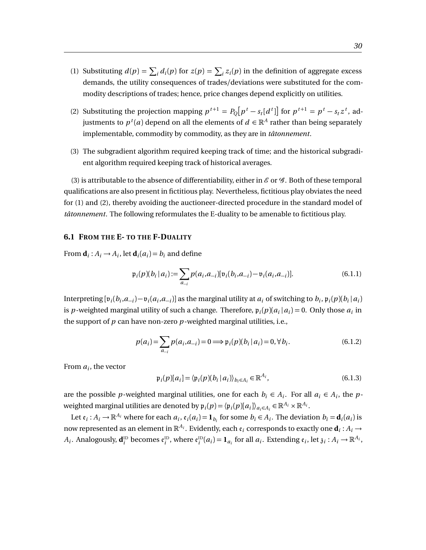- (1) Substituting  $d(p) = \sum_i d_i(p)$  for  $z(p) = \sum_i z_i(p)$  in the definition of aggregate excess demands, the utility consequences of trades/deviations were substituted for the commodity descriptions of trades; hence, price changes depend explicitly on utilities.
- (2) Substituting the projection mapping  $p^{t+1} = P_Q[p^t s_t[d^t]]$  for  $p^{t+1} = p^t s_t z^t$ , adjustments to  $p^{\,t}(a)$  depend on all the elements of  $d \in \mathbb{R}^A$  rather than being separately implementable, commodity by commodity, as they are in *tâtonnement*.
- (3) The subgradient algorithm required keeping track of time; and the historical subgradient algorithm required keeping track of historical averages.

(3) is attributable to the absence of differentiability, either in  $\mathcal E$  or  $\mathcal G$ . Both of these temporal qualifications are also present in fictitious play. Nevertheless, fictitious play obviates the need for (1) and (2), thereby avoiding the auctioneer-directed procedure in the standard model of *tâtonnement*. The following reformulates the E-duality to be amenable to fictitious play.

# <span id="page-32-0"></span>**6.1 FROM THE E- TO THE F-DUALITY**

From  $\mathbf{d}_i$ :  $A_i \rightarrow A_i$ , let  $\mathbf{d}_i$  $(a_i) = b_i$  and define

$$
\mathfrak{p}_i(p)(b_i | a_i) := \sum_{a_{-i}} p(a_i, a_{-i}) [\mathfrak{v}_i(b_i, a_{-i}) - \mathfrak{v}_i(a_i, a_{-i})]. \tag{6.1.1}
$$

Interpreting  $[\mathfrak{v}_i(b_i, a_{-i}) - \mathfrak{v}_i(a_i, a_{-i})]$  as the marginal utility at  $a_i$  of switching to  $b_i$ ,  $\mathfrak{p}_i(p)(b_i | a_i)$ is p-weighted marginal utility of such a change. Therefore,  $\mathfrak{p}_i(p)(a_i|a_i) = 0$ . Only those  $a_i$  in the support of *p* can have non-zero *p*-weighted marginal utilities, i.e.,

$$
p(a_i) = \sum_{a_{-i}} p(a_i, a_{-i}) = 0 \Longrightarrow \mathfrak{p}_i(p)(b_i \, | \, a_i) = 0, \forall \, b_i. \tag{6.1.2}
$$

From  $a_i$ , the vector

$$
\mathfrak{p}_i(p)[a_i] = \langle \mathfrak{p}_i(p)(b_i | a_i) \rangle_{b_i \in A_i} \in \mathbb{R}^{A_i},\tag{6.1.3}
$$

are the possible *p*-weighted marginal utilities, one for each  $b_i \in A_i$ . For all  $a_i \in A_i$ , the *p*weighted marginal utilities are denoted by  $\mathfrak{p}_i(p) = \langle \mathfrak{p}_i(p) [a_i] \rangle_{a_i \in A_i} \in \mathbb{R}^{A_i} \times \mathbb{R}^{A_i}$ .

Let  $\mathfrak{e}_i$ :  $A_i \to \mathbb{R}^{A_i}$  where for each  $a_i$ ,  $\mathfrak{e}_i(a_i) = \mathbf{1}_{b_i}$  for some  $b_i \in A_i$ . The deviation  $b_i = \mathbf{d}_i(a_i)$  is now represented as an element in  $\mathbb{R}^{A_i}.$  Evidently, each  $\mathfrak{e}_i$  corresponds to exactly one  $\mathbf{d}_i$  :  $A_i$   $\rightarrow$  $A_i$ . Analogously,  $\mathbf{d}_i^{\text{ID}}$  becomes  $\mathfrak{e}_i^{\text{ID}}$ , where  $\mathfrak{e}_i^{\text{ID}}(a_i) = \mathbf{1}_{a_i}$  for all  $a_i$ . Extending  $\mathfrak{e}_i$ , let  $\mathfrak{z}_i : A_i \to \mathbb{R}^{A_i}$ ,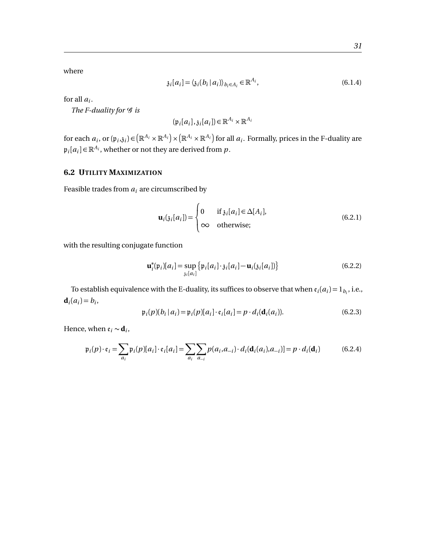where

$$
\mathfrak{z}_i[a_i] = \langle \mathfrak{z}_i(b_i \, | \, a_i) \rangle_{b_i \in A_i} \in \mathbb{R}^{A_i},\tag{6.1.4}
$$

for all  $a_i$ .

*The F-duality for*  $\mathcal G$  *is* 

$$
(\mathfrak{p}_i[a_i],\mathfrak{z}_i[a_i]) \in \mathbb{R}^{A_i} \times \mathbb{R}^{A_i}
$$

for each  $a_i$ , or  $(\mathfrak{p}_i, \mathfrak{z}_i)$   $\in$   $(\mathbb{R}^{A_i} \times \mathbb{R}^{A_i}) \times (\mathbb{R}^{A_i} \times \mathbb{R}^{A_i})$  for all  $a_i$ . Formally, prices in the F-duality are  $\mathfrak{p}_i[a_i] \in \mathbb{R}^{A_i}$ , whether or not they are derived from  $p$ .

# <span id="page-33-0"></span>**6.2 UTILITY MAXIMIZATION**

Feasible trades from  $a_i$  are circumscribed by

$$
\mathbf{u}_{i}(j_{i}[a_{i}]) = \begin{cases} 0 & \text{if } j_{i}[a_{i}] \in \Delta[A_{i}], \\ \infty & \text{otherwise}; \end{cases}
$$
(6.2.1)

with the resulting conjugate function

$$
\mathbf{u}_{i}^{*}(\mathfrak{p}_{i})[a_{i}] = \sup_{\mathfrak{z}_{i}[a_{i}]}\left\{\mathfrak{p}_{i}[a_{i}]\cdot\mathfrak{z}_{i}[a_{i}]-\mathbf{u}_{i}(\mathfrak{z}_{i}[a_{i}])\right\}
$$
(6.2.2)

To establish equivalence with the E-duality, its suffices to observe that when  $\mathfrak{e}_i(a_i) = 1_{b_i}$ , i.e.,  $$ 

$$
\mathfrak{p}_i(p)(b_i|a_i) = \mathfrak{p}_i(p)[a_i] \cdot \mathfrak{e}_i[a_i] = p \cdot d_i(\mathbf{d}_i(a_i)).
$$
\n(6.2.3)

Hence, when  $\varepsilon_i \sim \mathbf{d}_i$ ,

$$
\mathfrak{p}_i(p) \cdot \mathfrak{e}_i = \sum_{a_i} \mathfrak{p}_i(p)[a_i] \cdot \mathfrak{e}_i[a_i] = \sum_{a_i} \sum_{a_{-i}} p(a_i, a_{-i}) \cdot d_i(\mathbf{d}_i(a_i), a_{-i}) = p \cdot d_i(\mathbf{d}_i)
$$
(6.2.4)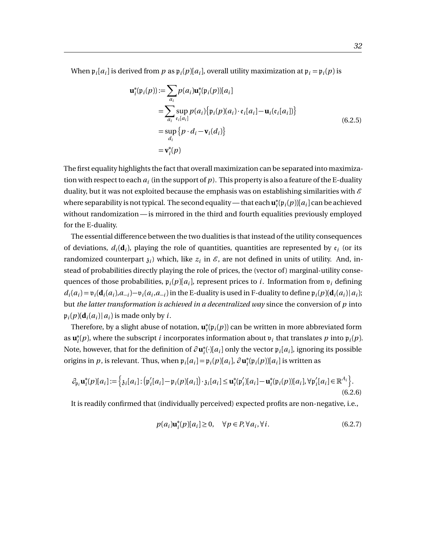When  $\mathfrak{p}_i[a_i]$  is derived from  $p$  as  $\mathfrak{p}_i(p)[a_i]$ , overall utility maximization at  $\mathfrak{p}_i = \mathfrak{p}_i(p)$  is

$$
\mathbf{u}_{i}^{*}(\mathfrak{p}_{i}(p)) := \sum_{a_{i}} p(a_{i}) \mathbf{u}_{i}^{*}(\mathfrak{p}_{i}(p)) [a_{i}]
$$
  
\n
$$
= \sum_{a_{i}} \sup_{\mathfrak{e}_{i}[a_{i}]} p(a_{i}) \{ \mathfrak{p}_{i}(p)(a_{i}) \cdot \mathfrak{e}_{i}[a_{i}] - \mathbf{u}_{i}(\mathfrak{e}_{i}[a_{i}]) \}
$$
  
\n
$$
= \sup_{d_{i}} \{ p \cdot d_{i} - \mathbf{v}_{i}(d_{i}) \}
$$
  
\n
$$
= \mathbf{v}_{i}^{*}(p)
$$
 (6.2.5)

The first equality highlights the fact that overall maximization can be separated into maximization with respect to each  $a_i$  (in the support of  $p$  ). This property is also a feature of the E-duality duality, but it was not exploited because the emphasis was on establishing similarities with  $\varepsilon$ where separability is not typical. The second equality— that each **u** ∗  $\int_{i}^{*}$ (p<sub>*i*</sub>( $p$ ))[ $a_i$ ] can be achieved without randomization — is mirrored in the third and fourth equalities previously employed for the E-duality.

The essential difference between the two dualities is that instead of the utility consequences of deviations,  $d_i(\mathbf{d}_i)$ , playing the role of quantities, quantities are represented by  $\mathfrak{e}_i$  (or its randomized counterpart  $\mathfrak{z}_i$ ) which, like  $z_i$  in  $\mathscr{E}$ , are not defined in units of utility. And, instead of probabilities directly playing the role of prices, the (vector of ) marginal-utility consequences of those probabilities,  $\mathfrak{p}_i(p)[a_i]$ , represent prices to *i*. Information from  $\mathfrak{v}_i$  defining  $d_i(a_i) = \mathfrak{v}_i(\mathbf{d}_i(a_i), a_{-i}) - \mathfrak{v}_i(a_i, a_{-i})$  in the E-duality is used in F-duality to define  $\mathfrak{p}_i(p)(\mathbf{d}_i(a_i) | a_i)$ ; but *the latter transformation is achieved in a decentralized way* since the conversion of *p* into  $\mathfrak{p}_i(p)(\mathbf{d}_i(a_i)|a_i)$  is made only by *i*.

Therefore, by a slight abuse of notation, **u** ∗  $e_i^*(\mathfrak{p}_i(p))$  can be written in more abbreviated form as **u** ∗  $\phi_i^*(p)$ , where the subscript *i* incorporates information about  $\mathfrak{v}_i$  that translates  $p$  into  $\mathfrak{p}_i(p)$ . Note, however, that for the definition of *∂* **u** ∗  $\hat{p}_i^*(\cdot)[a_i]$  only the vector  $\mathfrak{p}_i[a_i]$ , ignoring its possible origins in *p*, is relevant. Thus, when  $\mathfrak{p}_i[a_i] = \mathfrak{p}_i(p)[a_i]$ ,  $\partial \mathbf{u}_i^*$  $\int_{i}^{*}$ ( $\mathfrak{p}_{i}(p)$ )[ $a_{i}$ ] is written as

$$
\partial_{\mathfrak{p}_i} \mathbf{u}_i^*(p)[a_i] := \Big\{ \mathfrak{z}_i[a_i] : \big( \mathfrak{p}'_i[a_i] - \mathfrak{p}_i(p)[a_i] \big) \cdot \mathfrak{z}_i[a_i] \leq \mathbf{u}_i^*(\mathfrak{p}'_i)[a_i] - \mathbf{u}_i^*(\mathfrak{p}_i(p))[a_i], \forall \mathfrak{p}'_i[a_i] \in \mathbb{R}^{A_i} \Big\}.
$$
\n(6.2.6)

It is readily confirmed that (individually perceived) expected profits are non-negative, i.e.,

$$
p(a_i)\mathbf{u}_i^*(p)[a_i] \ge 0, \quad \forall p \in P, \forall a_i, \forall i.
$$
 (6.2.7)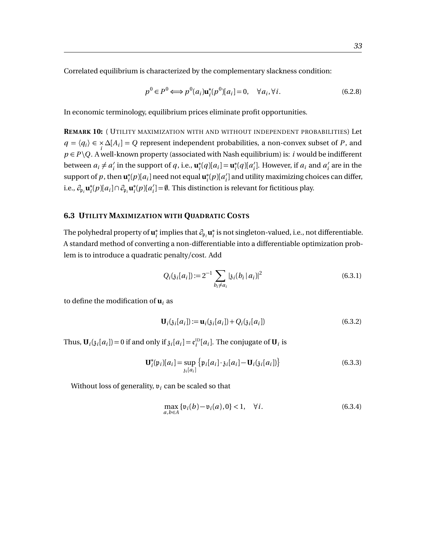Correlated equilibrium is characterized by the complementary slackness condition:

$$
p^{0} \in P^{0} \Longleftrightarrow p^{0}(a_{i}) \mathbf{u}_{i}^{*}(p^{0})[a_{i}] = 0, \quad \forall a_{i}, \forall i.
$$
 (6.2.8)

In economic terminology, equilibrium prices eliminate profit opportunities.

**REMARK 10:** ( UTILITY MAXIMIZATION WITH AND WITHOUT INDEPENDENT PROBABILITIES) Let *q* =  $\langle q_i \rangle$  ∈ × ∆[ $A_i$ ] = *Q* represent independent probabilities, a non-convex subset of *P*, and  $p \in P \setminus Q$ . A well-known property (associated with Nash equilibrium) is: *i* would be indifferent between  $a_i \neq a'_i$  $\mathbf{u}'_i$  in the support of *q*, i.e.,  $\mathbf{u}^*_i$  $a_i^*(q)[a_i] = \mathbf{u}_i^*$  $i$ <sup>\*</sup> $(q)$ [ $a$ <sup>'</sup><sub>i</sub></sup>  $a_i$ <sup>*i*</sup>. However, if  $a_i$  and  $a_i'$  $i<sub>i</sub>$  are in the support of  $p$ , then  $\mathbf{u}_i^*$  $a_i^*(p)[a_i]$  need not equal  $\mathbf{u}_i^*$  $\binom{a}{i}$ *i* ] and utility maximizing choices can differ, i.e.,  $\partial_{\mathfrak{p}_i} \mathbf{u}_i^*$ *i* (*p*)[*a<sup>i</sup>* ]∩*∂*p*<sup>i</sup>* **u** ∗  $\binom{a}{i}$  $\mathbf{u}'_i$  =  $\emptyset$ . This distinction is relevant for fictitious play.

#### <span id="page-35-0"></span>**6.3 UTILITY MAXIMIZATION WITH QUADRATIC COSTS**

The polyhedral property of **u** ∗  $\hat{a}_i$  implies that  $\partial_{\mathfrak{p}_i} \mathbf{u}_i^*$  $_i^\ast$  is not singleton-valued, i.e., not differentiable. A standard method of converting a non-differentiable into a differentiable optimization problem is to introduce a quadratic penalty/cost. Add

$$
Q_i(\mathfrak{z}_i[a_i]) := 2^{-1} \sum_{b_i \neq a_i} |\mathfrak{z}_i(b_i \, | \, a_i)|^2 \tag{6.3.1}
$$

to define the modification of  $\mathbf{u}_i$  as

$$
\mathbf{U}_{i}(\mathfrak{z}_{i}[a_{i}]) := \mathbf{u}_{i}(\mathfrak{z}_{i}[a_{i}]) + Q_{i}(\mathfrak{z}_{i}[a_{i}])
$$
(6.3.2)

Thus,  $\mathbf{U}_i(j_i[a_i]) = 0$  if and only if  $\mathfrak{z}_i[a_i] = \mathfrak{e}_i^{\text{ID}}[a_i]$ . The conjugate of  $\mathbf{U}_i$  is

$$
\mathbf{U}_{i}^{*}(\mathfrak{p}_{i})[a_{i}] = \sup_{\mathfrak{z}_{i}[a_{i}]}\left\{\mathfrak{p}_{i}[a_{i}]\cdot\mathfrak{z}_{i}[a_{i}]-\mathbf{U}_{i}(\mathfrak{z}_{i}[a_{i}])\right\}
$$
(6.3.3)

Without loss of generality,  $v_i$  can be scaled so that

$$
\max_{a,b \in A} \{ \mathfrak{v}_i(b) - \mathfrak{v}_i(a), 0 \} < 1, \quad \forall i. \tag{6.3.4}
$$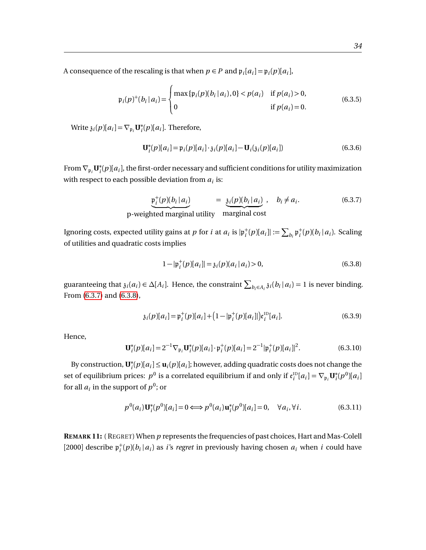A consequence of the rescaling is that when  $p \in P$  and  $\mathfrak{p}_i[a_i] = \mathfrak{p}_i(p)[a_i]$ ,

$$
\mathfrak{p}_i(p)^+(b_i \mid a_i) = \begin{cases} \max \{ \mathfrak{p}_i(p)(b_i \mid a_i), 0 \} < p(a_i) \quad \text{if } p(a_i) > 0, \\ 0 & \quad \text{if } p(a_i) = 0. \end{cases} \tag{6.3.5}
$$

Write  $\mathfrak{z}_i(p)[a_i] = \nabla_{\mathfrak{p}_i} \mathbf{U}_i^*$  $E_i^*(p)[a_i]$ . Therefore,

$$
\mathbf{U}_{i}^{*}(p)[a_{i}] = \mathfrak{p}_{i}(p)[a_{i}]\cdot \mathfrak{z}_{i}(p)[a_{i}] - \mathbf{U}_{i}(\mathfrak{z}_{i}(p)[a_{i}])
$$
\n(6.3.6)

From  $\nabla_{\mathfrak{p}_i} \mathbf{U}_i^*$  $\hat{p}_i^*(p)[a_i]$ , the first-order necessary and sufficient conditions for utility maximization with respect to each possible deviation from  $a_i$  is:  $\,$ 

<span id="page-36-0"></span>
$$
\underbrace{\mathfrak{p}_i^+(p)(b_i|a_i)}_{\text{p-weighted marginal utility}} = \underbrace{\mathfrak{z}_i(p)(b_i|a_i)}_{\text{marginal cost}}, \quad b_i \neq a_i. \tag{6.3.7}
$$

Ignoring costs, expected utility gains at *p* for *i* at  $a_i$  is  $|\mathfrak{p}_i^+(p)[a_i]|:=\sum_{b_i}\mathfrak{p}_i^+(p)(b_i|a_i)$ . Scaling of utilities and quadratic costs implies

<span id="page-36-1"></span>
$$
1 - |\mathfrak{p}_i^+(p)[a_i]| = \mathfrak{z}_i(p)(a_i | a_i) > 0,
$$
\n(6.3.8)

guaranteeing that  $\mathfrak{z}_i(a_i) \in \Delta[A_i]$ . Hence, the constraint  $\sum_{b_i \in A_i} \mathfrak{z}_i(b_i | a_i) = 1$  is never binding. From [\(6.3.7\)](#page-36-0) and [\(6.3.8\)](#page-36-1),

$$
\mathfrak{z}_i(p)[a_i] = \mathfrak{p}_i^+(p)[a_i] + (1 - |\mathfrak{p}_i^+(p)[a_i]|)\mathfrak{e}_i^{\text{ID}}[a_i].
$$
\n(6.3.9)

Hence,

$$
\mathbf{U}_{i}^{*}(p)[a_{i}] = 2^{-1} \nabla_{\mathfrak{p}_{i}} \mathbf{U}_{i}^{*}(p)[a_{i}] \cdot \mathfrak{p}_{i}^{+}(p)[a_{i}] = 2^{-1} |\mathfrak{p}_{i}^{+}(p)[a_{i}]|^{2}.
$$
 (6.3.10)

By construction, **U** ∗  $\mathbf{f}_i^*(p)[a_i] \leq \mathbf{u}_i(p)[a_i]$ ; however, adding quadratic costs does not change the set of equilibrium prices:  $p^0$  is a correlated equilibrium if and only if  $\mathfrak{e}_i^{\text{ID}}[a_i] = \nabla_{\mathfrak{p}_i} \mathbf{U}_i^*$  $i^*$ ( $p^0$ )[ $a_i$ ] for all  $a_i$  in the support of  $p^0$ ; or

$$
p^{0}(a_{i})\mathbf{U}_{i}^{*}(p^{0})[a_{i}] = 0 \Longleftrightarrow p^{0}(a_{i})\mathbf{u}_{i}^{*}(p^{0})[a_{i}] = 0, \quad \forall a_{i}, \forall i.
$$
 (6.3.11)

**REMARK 11:** ( REGRET) When *p* represents the frequencies of past choices, Hart and Mas-Colell [2000] describe  $\mathfrak{p}_i^+(p)(b_i|a_i)$  as *i*'s *regret* in previously having chosen  $a_i$  when *i* could have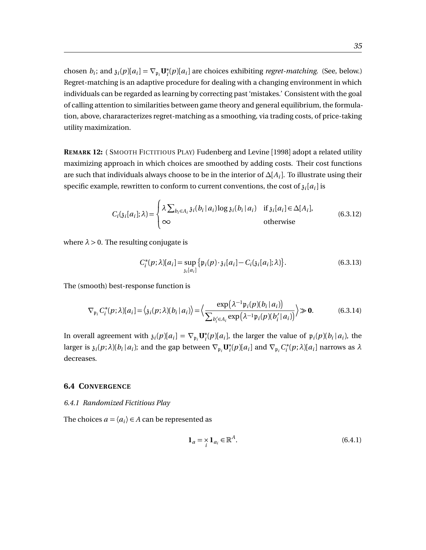chosen  $b_i$ ; and  $\delta_i(p)[a_i] = \nabla_{\mathfrak{p}_i} \mathbf{U}_i^*$ *i* (*p*)[*a<sup>i</sup>* ] are choices exhibiting *regret-matching*. (See, below.) Regret-matching is an adaptive procedure for dealing with a changing environment in which individuals can be regarded as learning by correcting past 'mistakes.' Consistent with the goal of calling attention to similarities between game theory and general equilibrium, the formulation, above, chararacterizes regret-matching as a smoothing, via trading costs, of price-taking utility maximization.

**REMARK 12:** ( SMOOTH FICTITIOUS PLAY) Fudenberg and Levine [1998] adopt a related utility maximizing approach in which choices are smoothed by adding costs. Their cost functions are such that individuals always choose to be in the interior of *∆*[*A<sup>i</sup>* ]. To illustrate using their specific example, rewritten to conform to current conventions, the cost of  $\mathfrak{z}_i[a_i]$  is

$$
C_i(\mathfrak{z}_i[a_i];\lambda) = \begin{cases} \lambda \sum_{b_i \in A_i} \mathfrak{z}_i(b_i \mid a_i) \log \mathfrak{z}_i(b_i \mid a_i) & \text{if } \mathfrak{z}_i[a_i] \in \Delta[A_i], \\ \infty & \text{otherwise} \end{cases}
$$
(6.3.12)

where  $\lambda > 0$ . The resulting conjugate is

$$
C_i^*(p; \lambda)[a_i] = \sup_{\mathfrak{z}_i[a_i]} \{ \mathfrak{p}_i(p) \cdot \mathfrak{z}_i[a_i] - C_i(\mathfrak{z}_i[a_i]; \lambda) \}.
$$
 (6.3.13)

The (smooth) best-response function is

$$
\nabla_{\mathfrak{p}_i} C_i^*(p; \lambda)[a_i] = \langle \mathfrak{z}_i(p; \lambda)(b_i | a_i) \rangle = \Big\langle \frac{\exp\big(\lambda^{-1} \mathfrak{p}_i(p)(b_i | a_i)\big)}{\sum_{b_i' \in A_i} \exp\big(\lambda^{-1} \mathfrak{p}_i(p)(b_i' | a_i)\big)} \Big\rangle \gg \mathbf{0}.
$$
 (6.3.14)

In overall agreement with  $\mathfrak{z}_i(p)[a_i] = \nabla_{\mathfrak{p}_i} \mathbf{U}_i^*$  $\hat{p}_i^*(p)[a_i]$ , the larger the value of  $p_i(p)[b_i|a_i]$ , the larger is  $\mathfrak{z}_i(p;\lambda)(b_i|a_i)$ ; and the gap between  $\nabla_{\mathfrak{p}_i} \mathbf{U}_i^*$  $\int_i^*(p)[a_i]$  and  $\nabla_{\mathfrak{p}_i} C_i^*$ *i* (*p*;*λ*)[*a<sup>i</sup>* ] narrows as *λ* decreases.

#### <span id="page-37-0"></span>**6.4 CONVERGENCE**

<span id="page-37-1"></span>*6.4.1 Randomized Fictitious Play*

The choices  $a = \langle a_i \rangle \in A$  can be represented as

$$
\mathbf{1}_a = \mathbf{1}_{a_i} \in \mathbb{R}^A. \tag{6.4.1}
$$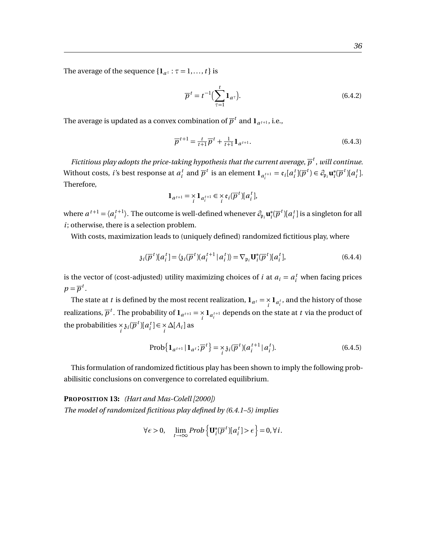The average of the sequence  $\{1_{a^{\tau}} : \tau = 1, \ldots, t\}$  is

$$
\overline{p}^t = t^{-1} \Big( \sum_{\tau=1}^t \mathbf{1}_{a^{\tau}} \Big). \tag{6.4.2}
$$

The average is updated as a convex combination of  $\overline{p}^t$  and  $\mathbf{1}_{a^{t+1}}$ , i.e.,

$$
\overline{p}^{t+1} = \frac{t}{t+1} \overline{p}^t + \frac{1}{t+1} \mathbf{1}_{a^{t+1}}.
$$
\n(6.4.3)

*Fictitious play adopts the price-taking hypothesis that the current average,*  $\overline{p}^t$  *, will continue.* Without costs, *i*'s best response at  $a_i^t$  and  $\overline{p}^t$  is an element  $\mathbf{1}_{a_i^{t+1}} = \mathfrak{e}_i[a_i^t](\overline{p}^t) \in \partial_{\mathfrak{p}_i} \mathbf{u}_i^*$  $i(\overline{p}^t)[a_i^t].$ Therefore,

$$
\mathbf{1}_{a^{t+1}} = \mathop{\times}\limits_i \mathbf{1}_{a_i^{t+1}} \in \mathop{\times}\limits_i \mathop{\varepsilon}_i (\overline{\rho}^t) [a_i^t],
$$

where  $a^{t+1} = \langle a_i^{t+1} \rangle$ . The outcome is well-defined whenever  $\partial_{\mathfrak{p}_i} \mathbf{u}_i^*$  $\int_{i}^{*} (\overline{p}^{t})[a_{i}^{t}]$  is a singleton for all *i*; otherwise, there is a selection problem.

With costs, maximization leads to (uniquely defined) randomized fictitious play, where

$$
\mathfrak{z}_i(\overline{p}^t)[a_i^t] = \langle \mathfrak{z}_i(\overline{p}^t)(a_i^{t+1} | a_i^t) \rangle = \nabla_{\mathfrak{p}_i} \mathbf{U}_i^*(\overline{p}^t)[a_i^t],\tag{6.4.4}
$$

is the vector of (cost-adjusted) utility maximizing choices of *i* at  $a_i = a_i^t$  when facing prices  $p = \overline{p}^t$ .

The state at *t* is defined by the most recent realization,  $\mathbf{1}_{a^t} = \sum_{i=1}^{t} \mathbf{1}_{a_i^t}$ , and the history of those realizations,  $\overline{p}^t$ . The probability of  $1_{a^{t+1}} = \sum\limits_{i} 1_{a_i^{t+1}}$  depends on the state at  $t$  via the product of the probabilities  $\underset{i}{\times}$   $\underset{i}{\delta}$ *i*( $\overline{p}^t$ )[ $a_i^t$ ]  $\in \underset{i}{\times}$   $\Delta[A_i]$  as

<span id="page-38-0"></span>
$$
\text{Prob}\big\{\mathbf{1}_{a^{t+1}}\,|\,\mathbf{1}_{a^t};\overline{p}^t\big\} = \underset{i}{\times} \underset{\delta}{\times} \underset{i}{\delta}(\overline{p}^t)(a_i^{t+1} \,|\, a_i^t). \tag{6.4.5}
$$

This formulation of randomized fictitious play has been shown to imply the following probabilisitic conclusions on convergence to correlated equilibrium.

**PROPOSITION 13:** *(Hart and Mas-Colell [2000]) The model of randomized fictitious play defined by (6.4.1–5) implies*

$$
\forall \epsilon > 0, \quad \lim_{t \to \infty} \text{Prob}\left\{ \mathbf{U}_i^* (\overline{p}^t) [a_i^t] > \epsilon \right\} = 0, \forall i.
$$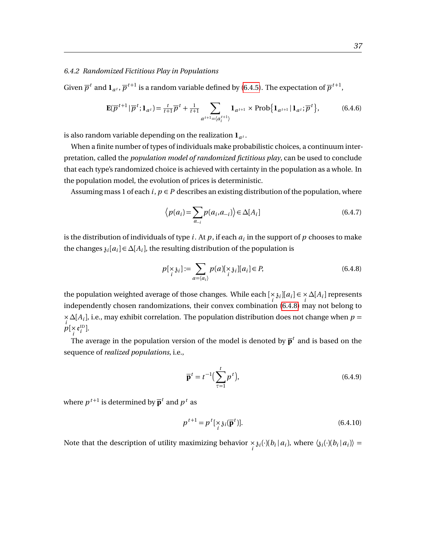#### <span id="page-39-0"></span>*6.4.2 Randomized Fictitious Play in Populations*

Given  $\overline{p}^t$  and  $\mathbf{1}_{a^t}$ ,  $\overline{p}^{t+1}$  is a random variable defined by [\(6.4.5\)](#page-38-0). The expectation of  $\overline{p}^{t+1}$ ,

<span id="page-39-2"></span>
$$
\mathbf{E}(\overline{p}^{t+1} \,|\, \overline{p}^t; \mathbf{1}_{a^t}) = \frac{t}{t+1} \overline{p}^t + \frac{1}{t+1} \sum_{a^{t+1} = \langle a_i^{t+1} \rangle} \mathbf{1}_{a^{t+1}} \times \text{Prob}\{\mathbf{1}_{a^{t+1}} \,|\, \mathbf{1}_{a^t}; \overline{p}^t\},\tag{6.4.6}
$$

is also random variable depending on the realization  $\mathbf{1}_{a^t}$ .

When a finite number of types of individuals make probabilistic choices, a continuum interpretation, called the *population model of randomized fictitious play*, can be used to conclude that each type's randomized choice is achieved with certainty in the population as a whole. In the population model, the evolution of prices is deterministic.

Assuming mass 1 of each  $i, p \in P$  describes an existing distribution of the population, where

$$
\langle p(a_i) = \sum_{a_{-i}} p(a_i, a_{-i}) \rangle \in \Delta[A_i]
$$
\n(6.4.7)

is the distribution of individuals of type  $i.$  At  $p$  , if each  $a_i$  in the support of  $p$  chooses to make the changes  $\mathfrak{z}_i[a_i] \in \Delta[A_i]$ , the resulting distribution of the population is

<span id="page-39-1"></span>
$$
p[\underset{i}{\times}\mathfrak{z}_i] := \sum_{a=\langle a_i \rangle} p(a)[\underset{i}{\times}\mathfrak{z}_i][a_i] \in P,\tag{6.4.8}
$$

the population weighted average of those changes. While each  $[\frac{\times}{i} \mathfrak{z}_i][a_i] \in \frac{\times}{i} \Delta[A_i]$  represents independently chosen randomizations, their convex combination [\(6.4.8\)](#page-39-1) may not belong to × *∆*[*A<sup>i</sup>* ], i.e., may exhibit correlation. The population distribution does not change when *p* =  $p[\times e_i^{\text{ID}}]$ .

The average in the population version of the model is denoted by  $\overline{\mathbf{p}}^t$  and is based on the sequence of *realized populations*, i.e.,

$$
\overline{\mathbf{p}}^t = t^{-1} \left( \sum_{\tau=1}^t p^t \right),\tag{6.4.9}
$$

where  $p^{t+1}$  is determined by  $\overline{\mathbf{p}}^t$  and  $p^t$  as

$$
p^{t+1} = p^t[\underset{i}{\times} \mathfrak{z}_i(\overline{\mathbf{p}}^t)].
$$
\n(6.4.10)

Note that the description of utility maximizing behavior  $\frac{1}{i} \delta_i(\cdot)(b_i | a_i)$ , where  $\langle \delta_i(\cdot)(b_i | a_i) \rangle =$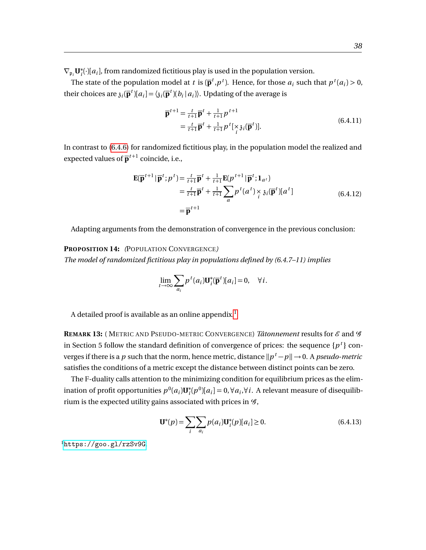$\nabla_{\mathfrak{p}_i} \mathbf{U}_i^*$  $\dot{a}_i^*$ ( $\cdot$ )[ $a_i$ ], from randomized fictitious play is used in the population version.

The state of the population model at *t* is  $(\mathbf{\bar{p}}^t, p^t)$ . Hence, for those  $a_i$  such that  $p^t(a_i) > 0$ , their choices are  $\mathfrak{z}_i(\mathbf{p}^t)[a_i] = \langle \mathfrak{z}_i(\mathbf{p}^t)(b_i|a_i) \rangle$ . Updating of the average is

$$
\overline{\mathbf{p}}^{t+1} = \frac{t}{t+1} \overline{\mathbf{p}}^t + \frac{1}{t+1} p^{t+1}
$$
  
= 
$$
\frac{t}{t+1} \overline{\mathbf{p}}^t + \frac{1}{t+1} p^t [\underset{i}{\times} \mathfrak{z}_i(\overline{\mathbf{p}}^t)].
$$
 (6.4.11)

In contrast to [\(6.4.6\)](#page-39-2) for randomized fictitious play, in the population model the realized and expected values of  $\overline{\mathbf{p}}^{t+1}$  coincide, i.e.,

$$
\mathbf{E}(\overline{\mathbf{p}}^{t+1} | \overline{\mathbf{p}}^t; p^t) = \frac{t}{t+1} \overline{\mathbf{p}}^t + \frac{1}{t+1} \mathbf{E}(p^{t+1} | \overline{\mathbf{p}}^t; \mathbf{1}_{a^t})
$$
  
\n
$$
= \frac{t}{t+1} \overline{\mathbf{p}}^t + \frac{1}{t+1} \sum_{a} p^t (a^t) \underset{i}{\times} \mathfrak{z}_i(\overline{\mathbf{p}}^t) [a^t]
$$
  
\n
$$
= \overline{\mathbf{p}}^{t+1}
$$
 (6.4.12)

Adapting arguments from the demonstration of convergence in the previous conclusion:

#### **PROPOSITION 14:** *(*POPULATION CONVERGENCE*)*

*The model of randomized fictitious play in populations defined by (6.4.7–11) implies*

$$
\lim_{t \to \infty} \sum_{a_i} p^t(a_i) \mathbf{U}_i^* (\overline{\mathbf{p}}^t) [a_i] = 0, \quad \forall i.
$$

A detailed proof is available as an online appendix.<sup>[1](#page-40-0)</sup>

**REMARK 13:** (METRIC AND PSEUDO-METRIC CONVERGENCE) *Tâtonnement* results for  $\mathscr E$  and  $\mathscr G$ in Section 5 follow the standard definition of convergence of prices: the sequence  $\{p^t\}$  converges if there is a  $p$  such that the norm, hence metric, distance  $\|p^{\,t}\!-\!p\|\!\rightarrow\! 0.$  A  $pseudo\text{-}metric$ satisfies the conditions of a metric except the distance between distinct points can be zero.

The F-duality calls attention to the minimizing condition for equilibrium prices as the elimination of profit opportunities  $p^0(a_i) \mathbf{U}^*_i$ *i*<sup>∗</sup>( $p^0$ )[ $a_i$ ] = 0,∀ $a_i$ ,∀*i*. A relevant measure of disequilibrium is the expected utility gains associated with prices in  $\mathcal{G}$ ,

$$
\mathbf{U}^*(p) = \sum_{i} \sum_{a_i} p(a_i) \mathbf{U}_i^*(p)[a_i] \ge 0.
$$
 (6.4.13)

<span id="page-40-0"></span><sup>1</sup><https://goo.gl/rzSv9G>.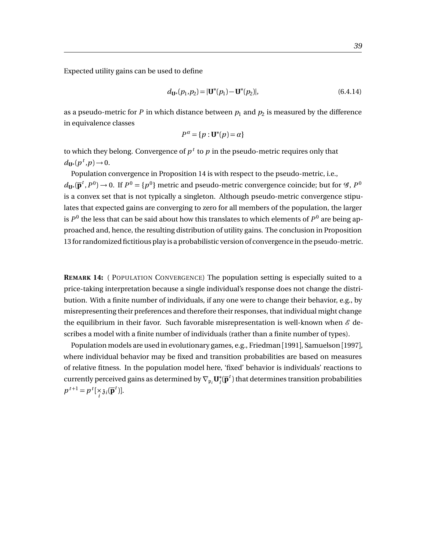Expected utility gains can be used to define

$$
d_{\mathbf{U}^*}(p_1, p_2) = |\mathbf{U}^*(p_1) - \mathbf{U}^*(p_2)|,\tag{6.4.14}
$$

as a pseudo-metric for  $P$  in which distance between  $p_1$  and  $p_2$  is measured by the difference in equivalence classes

$$
P^{\alpha} = \{p : \mathbf{U}^*(p) = \alpha\}
$$

to which they belong. Convergence of  $p<sup>t</sup>$  to  $p$  in the pseudo-metric requires only that  $d_{\mathbf{U}^*}(p^t, p) \rightarrow 0.$ 

Population convergence in Proposition 14 is with respect to the pseudo-metric, i.e.,  $d_{\mathbf{U}^*}(\mathbf{\bar{p}}^t, P^0)$  → 0. If  $P^0 = \{p^0\}$  metric and pseudo-metric convergence coincide; but for  $\mathscr{G}, P^0$ is a convex set that is not typically a singleton. Although pseudo-metric convergence stipulates that expected gains are converging to zero for all members of the population, the larger is  $P^0$  the less that can be said about how this translates to which elements of  $P^0$  are being approached and, hence, the resulting distribution of utility gains. The conclusion in Proposition 13 for randomized fictitious play is a probabilistic version of convergence in the pseudo-metric.

**REMARK 14:** ( POPULATION CONVERGENCE) The population setting is especially suited to a price-taking interpretation because a single individual's response does not change the distribution. With a finite number of individuals, if any one were to change their behavior, e.g., by misrepresenting their preferences and therefore their responses, that individual might change the equilibrium in their favor. Such favorable misrepresentation is well-known when  $\mathscr E$  describes a model with a finite number of individuals (rather than a finite number of types).

Population models are used in evolutionary games, e.g., Friedman [1991], Samuelson [1997], where individual behavior may be fixed and transition probabilities are based on measures of relative fitness. In the population model here, 'fixed' behavior is individuals' reactions to currently perceived gains as determined by  $\nabla_{\mathfrak{p}_i} \mathbf{U}_i^*$  $\bar{i}(\overline{\mathbf{p}}^t)$  that determines transition probabilities  $p^{t+1} = p^t [\underset{i}{\times} \mathfrak{z}_i(\overline{\mathbf{p}}^t)].$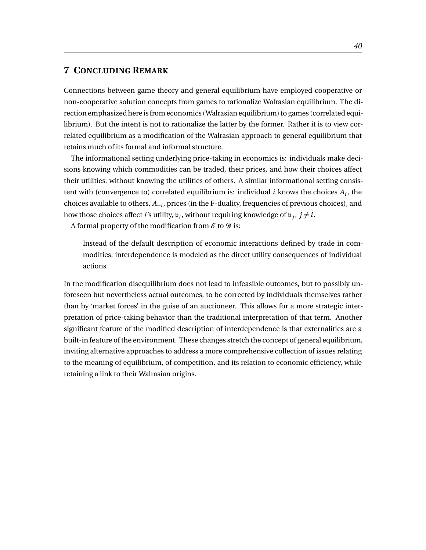# <span id="page-42-0"></span>**7 CONCLUDING REMARK**

Connections between game theory and general equilibrium have employed cooperative or non-cooperative solution concepts from games to rationalize Walrasian equilibrium. The direction emphasized here is from economics (Walrasian equilibrium) to games (correlated equilibrium). But the intent is not to rationalize the latter by the former. Rather it is to view correlated equilibrium as a modification of the Walrasian approach to general equilibrium that retains much of its formal and informal structure.

The informational setting underlying price-taking in economics is: individuals make decisions knowing which commodities can be traded, their prices, and how their choices affect their utilities, without knowing the utilities of others. A similar informational setting consistent with (convergence to) correlated equilibrium is: individual  $i$  knows the choices  $A_i$ , the choices available to others, *A*−*<sup>i</sup>* , prices (in the F-duality, frequencies of previous choices), and how those choices affect *i*'s utility,  $v_i$ , without requiring knowledge of  $v_j$ ,  $j \neq i$ .

A formal property of the modification from  $\mathcal E$  to  $\mathcal G$  is:

Instead of the default description of economic interactions defined by trade in commodities, interdependence is modeled as the direct utility consequences of individual actions.

In the modification disequilibrium does not lead to infeasible outcomes, but to possibly unforeseen but nevertheless actual outcomes, to be corrected by individuals themselves rather than by 'market forces' in the guise of an auctioneer. This allows for a more strategic interpretation of price-taking behavior than the traditional interpretation of that term. Another significant feature of the modified description of interdependence is that externalities are a built-in feature of the environment. These changes stretch the concept of general equilibrium, inviting alternative approaches to address a more comprehensive collection of issues relating to the meaning of equilibrium, of competition, and its relation to economic efficiency, while retaining a link to their Walrasian origins.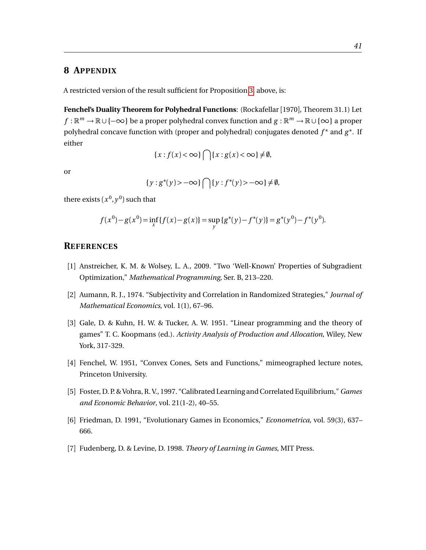# <span id="page-43-0"></span>**8 APPENDIX**

A restricted version of the result sufficient for Proposition [3,](#page-16-1) above, is:

**Fenchel's Duality Theorem for Polyhedral Functions**: (Rockafellar [1970], Theorem 31.1) Let *f* :  $\mathbb{R}^m \to \mathbb{R} \cup \{\infty\}$  be a proper polyhedral convex function and *g* :  $\mathbb{R}^m \to \mathbb{R} \cup \{\infty\}$  a proper polyhedral concave function with (proper and polyhedral) conjugates denoted *f* <sup>∗</sup> and *g* ∗ . If either

$$
\{x: f(x) < \infty\} \bigcap \{x: g(x) < \infty\} \neq \emptyset,
$$

or

$$
\{y:g^*(y) > -\infty\} \bigcap \{y:f^*(y) > -\infty\} \neq \emptyset,
$$

there exists  $(x^0, y^0)$  such that

$$
f(x^{0}) - g(x^{0}) = \inf_{x} \{f(x) - g(x)\} = \sup_{y} \{g^{*}(y) - f^{*}(y)\} = g^{*}(y^{0}) - f^{*}(y^{0}).
$$

# **REFERENCES**

- [1] Anstreicher, K. M. & Wolsey, L. A., 2009. "Two 'Well-Known' Properties of Subgradient Optimization," *Mathematical Programming*, Ser. B, 213–220.
- [2] Aumann, R. J., 1974. "Subjectivity and Correlation in Randomized Strategies," *Journal of Mathematical Economics*, vol. 1(1), 67–96.
- [3] Gale, D. & Kuhn, H. W. & Tucker, A. W. 1951. "Linear programming and the theory of games" T. C. Koopmans (ed.). *Activity Analysis of Production and Allocation*, Wiley, New York, 317-329.
- [4] Fenchel, W. 1951, "Convex Cones, Sets and Functions," mimeographed lecture notes, Princeton University.
- [5] Foster, D. P. & Vohra, R. V., 1997. "Calibrated Learning and Correlated Equilibrium," *Games and Economic Behavior*, vol. 21(1-2), 40–55.
- [6] Friedman, D. 1991, "Evolutionary Games in Economics," *Econometrica*, vol. 59(3), 637– 666.
- [7] Fudenberg, D. & Levine, D. 1998. *Theory of Learning in Games*, MIT Press.